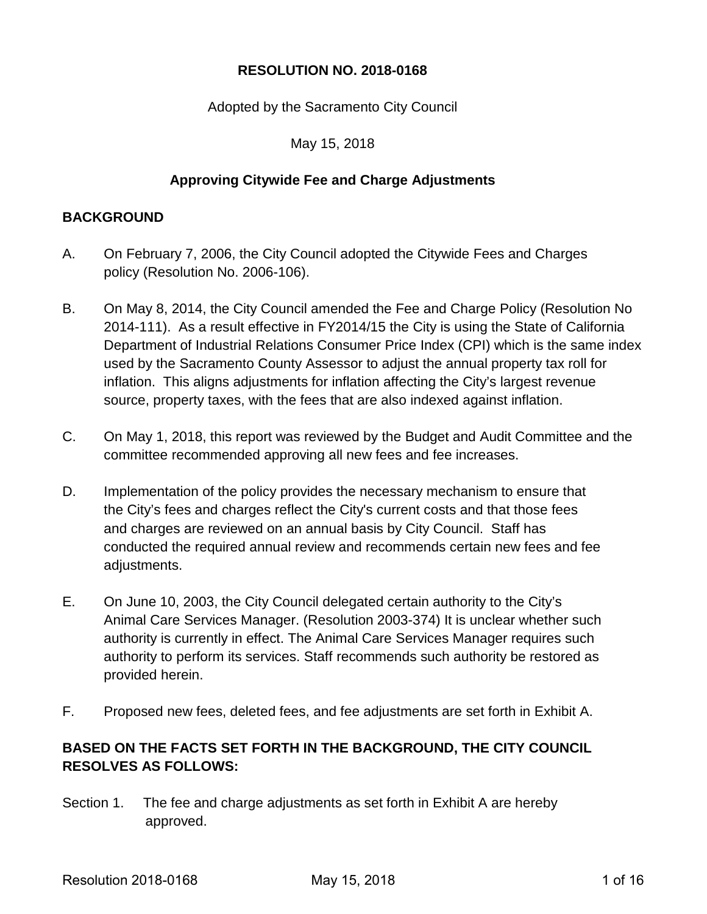### **RESOLUTION NO. 2018-0168**

#### Adopted by the Sacramento City Council

#### May 15, 2018

#### **Approving Citywide Fee and Charge Adjustments**

#### **BACKGROUND**

- A. On February 7, 2006, the City Council adopted the Citywide Fees and Charges policy (Resolution No. 2006-106).
- B. On May 8, 2014, the City Council amended the Fee and Charge Policy (Resolution No 2014-111). As a result effective in FY2014/15 the City is using the State of California Department of Industrial Relations Consumer Price Index (CPI) which is the same index used by the Sacramento County Assessor to adjust the annual property tax roll for inflation. This aligns adjustments for inflation affecting the City's largest revenue source, property taxes, with the fees that are also indexed against inflation.
- C. On May 1, 2018, this report was reviewed by the Budget and Audit Committee and the committee recommended approving all new fees and fee increases.
- D. Implementation of the policy provides the necessary mechanism to ensure that the City's fees and charges reflect the City's current costs and that those fees and charges are reviewed on an annual basis by City Council. Staff has conducted the required annual review and recommends certain new fees and fee adjustments.
- E. On June 10, 2003, the City Council delegated certain authority to the City's Animal Care Services Manager. (Resolution 2003-374) It is unclear whether such authority is currently in effect. The Animal Care Services Manager requires such authority to perform its services. Staff recommends such authority be restored as provided herein.
- F. Proposed new fees, deleted fees, and fee adjustments are set forth in Exhibit A.

## **BASED ON THE FACTS SET FORTH IN THE BACKGROUND, THE CITY COUNCIL RESOLVES AS FOLLOWS:**

Section 1. The fee and charge adjustments as set forth in Exhibit A are hereby approved.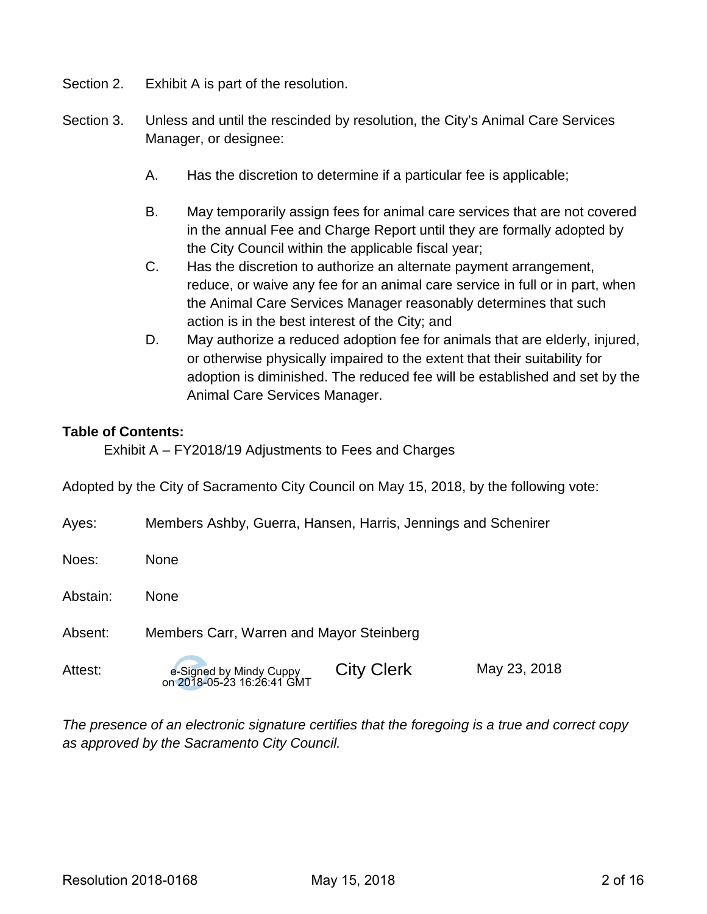- Section 2. Exhibit A is part of the resolution.
- Section 3. Unless and until the rescinded by resolution, the City's Animal Care Services Manager, or designee:
	- A. Has the discretion to determine if a particular fee is applicable;
	- B. May temporarily assign fees for animal care services that are not covered in the annual Fee and Charge Report until they are formally adopted by the City Council within the applicable fiscal year;
	- C. Has the discretion to authorize an alternate payment arrangement, reduce, or waive any fee for an animal care service in full or in part, when the Animal Care Services Manager reasonably determines that such action is in the best interest of the City; and
	- D. May authorize a reduced adoption fee for animals that are elderly, injured, or otherwise physically impaired to the extent that their suitability for adoption is diminished. The reduced fee will be established and set by the Animal Care Services Manager.

#### **Table of Contents:**

Exhibit A – FY2018/19 Adjustments to Fees and Charges

Adopted by the City of Sacramento City Council on May 15, 2018, by the following vote:

| Ayes:    | Members Ashby, Guerra, Hansen, Harris, Jennings and Schenirer |                   |              |
|----------|---------------------------------------------------------------|-------------------|--------------|
| Noes:    | <b>None</b>                                                   |                   |              |
| Abstain: | <b>None</b>                                                   |                   |              |
| Absent:  | Members Carr, Warren and Mayor Steinberg                      |                   |              |
| Attest:  | e-Signed by Mindy Cuppy<br>on 2018-05-23 16:26:41 GMT         | <b>City Clerk</b> | May 23, 2018 |

*The presence of an electronic signature certifies that the foregoing is a true and correct copy as approved by the Sacramento City Council.*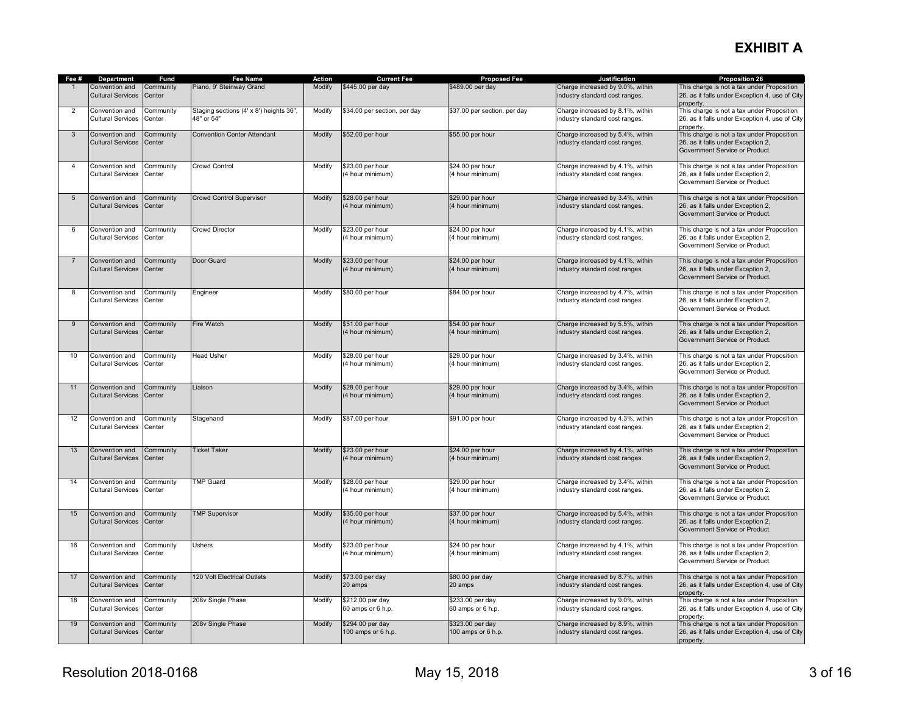# **EXHIBIT A**

| Fee #          | Department                                 | Fund                | <b>Fee Name</b>                                       | Action | <b>Current Fee</b>                     | <b>Proposed Fee</b>                    | <b>Justification</b>                                               | <b>Proposition 26</b>                                                                                              |
|----------------|--------------------------------------------|---------------------|-------------------------------------------------------|--------|----------------------------------------|----------------------------------------|--------------------------------------------------------------------|--------------------------------------------------------------------------------------------------------------------|
|                | Convention and<br><b>Cultural Services</b> | Community<br>Center | Piano, 9' Steinway Grand                              | Modify | \$445.00 per day                       | \$489.00 per day                       | Charge increased by 9.0%, within<br>industry standard cost ranges. | This charge is not a tax under Proposition<br>26, as it falls under Exception 4, use of City<br>property.          |
| 2              | Convention and<br><b>Cultural Services</b> | Community<br>Center | Staging sections (4' x 8') heights 36",<br>48" or 54" | Modify | \$34.00 per section, per day           | \$37.00 per section, per day           | Charge increased by 8.1%, within<br>industry standard cost ranges. | This charge is not a tax under Proposition<br>26, as it falls under Exception 4, use of City<br>property.          |
| 3              | Convention and<br><b>Cultural Services</b> | Community<br>Center | <b>Convention Center Attendant</b>                    | Modify | \$52.00 per hour                       | \$55.00 per hour                       | Charge increased by 5.4%, within<br>industry standard cost ranges. | This charge is not a tax under Proposition<br>26, as it falls under Exception 2,<br>Government Service or Product. |
| $\overline{4}$ | Convention and<br><b>Cultural Services</b> | Community<br>Center | Crowd Control                                         | Modify | \$23.00 per hour<br>(4 hour minimum)   | \$24.00 per hour<br>(4 hour minimum)   | Charge increased by 4.1%, within<br>industry standard cost ranges. | This charge is not a tax under Proposition<br>26, as it falls under Exception 2,<br>Government Service or Product. |
| 5              | Convention and<br><b>Cultural Services</b> | Community<br>Center | <b>Crowd Control Supervisor</b>                       | Modify | \$28.00 per hour<br>(4 hour minimum)   | \$29.00 per hour<br>(4 hour minimum)   | Charge increased by 3.4%, within<br>industry standard cost ranges. | This charge is not a tax under Proposition<br>26, as it falls under Exception 2,<br>Government Service or Product. |
| 6              | Convention and<br><b>Cultural Services</b> | Community<br>Center | <b>Crowd Director</b>                                 | Modify | \$23.00 per hour<br>(4 hour minimum)   | \$24.00 per hour<br>(4 hour minimum)   | Charge increased by 4.1%, within<br>industry standard cost ranges. | This charge is not a tax under Proposition<br>26, as it falls under Exception 2,<br>Government Service or Product. |
| 7              | Convention and<br><b>Cultural Services</b> | Community<br>Center | Door Guard                                            | Modify | \$23.00 per hour<br>(4 hour minimum)   | \$24.00 per hour<br>(4 hour minimum)   | Charge increased by 4.1%, within<br>industry standard cost ranges. | This charge is not a tax under Proposition<br>26, as it falls under Exception 2,<br>Government Service or Product. |
| 8              | Convention and<br><b>Cultural Services</b> | Community<br>Center | Engineer                                              | Modify | \$80.00 per hour                       | \$84.00 per hour                       | Charge increased by 4.7%, within<br>industry standard cost ranges. | This charge is not a tax under Proposition<br>26, as it falls under Exception 2,<br>Government Service or Product. |
| 9              | Convention and<br><b>Cultural Services</b> | Community<br>Center | Fire Watch                                            | Modify | \$51.00 per hour<br>(4 hour minimum)   | \$54.00 per hour<br>(4 hour minimum)   | Charge increased by 5.5%, within<br>industry standard cost ranges. | This charge is not a tax under Proposition<br>26, as it falls under Exception 2,<br>Government Service or Product. |
| 10             | Convention and<br><b>Cultural Services</b> | Community<br>Center | <b>Head Usher</b>                                     | Modify | \$28.00 per hour<br>(4 hour minimum)   | \$29.00 per hour<br>(4 hour minimum)   | Charge increased by 3.4%, within<br>industry standard cost ranges. | This charge is not a tax under Proposition<br>26, as it falls under Exception 2,<br>Government Service or Product. |
| 11             | Convention and<br><b>Cultural Services</b> | Community<br>Center | Liaison                                               | Modify | \$28.00 per hour<br>(4 hour minimum)   | \$29.00 per hour<br>(4 hour minimum)   | Charge increased by 3.4%, within<br>industry standard cost ranges. | This charge is not a tax under Proposition<br>26, as it falls under Exception 2,<br>Government Service or Product. |
| 12             | Convention and<br>Cultural Services        | Community<br>Center | Stagehand                                             | Modify | \$87.00 per hour                       | \$91.00 per hour                       | Charge increased by 4.3%, within<br>industry standard cost ranges. | This charge is not a tax under Proposition<br>26, as it falls under Exception 2,<br>Government Service or Product. |
| 13             | Convention and<br><b>Cultural Services</b> | Community<br>Center | <b>Ticket Taker</b>                                   | Modify | \$23.00 per hour<br>(4 hour minimum)   | \$24.00 per hour<br>(4 hour minimum)   | Charge increased by 4.1%, within<br>industry standard cost ranges. | This charge is not a tax under Proposition<br>26, as it falls under Exception 2,<br>Government Service or Product. |
| 14             | Convention and<br><b>Cultural Services</b> | Community<br>Center | <b>TMP Guard</b>                                      | Modify | \$28.00 per hour<br>(4 hour minimum)   | \$29.00 per hour<br>(4 hour minimum)   | Charge increased by 3.4%, within<br>industry standard cost ranges. | This charge is not a tax under Proposition<br>26, as it falls under Exception 2,<br>Government Service or Product. |
| 15             | Convention and<br><b>Cultural Services</b> | Community<br>Center | <b>TMP Supervisor</b>                                 | Modify | \$35.00 per hour<br>(4 hour minimum)   | \$37.00 per hour<br>(4 hour minimum)   | Charge increased by 5.4%, within<br>industry standard cost ranges. | This charge is not a tax under Proposition<br>26, as it falls under Exception 2,<br>Government Service or Product. |
| 16             | Convention and<br><b>Cultural Services</b> | Community<br>Center | Ushers                                                | Modify | \$23.00 per hour<br>(4 hour minimum)   | \$24.00 per hour<br>(4 hour minimum)   | Charge increased by 4.1%, within<br>industry standard cost ranges. | This charge is not a tax under Proposition<br>26, as it falls under Exception 2,<br>Government Service or Product. |
| 17             | Convention and<br><b>Cultural Services</b> | Community<br>Center | 120 Volt Electrical Outlets                           | Modify | \$73.00 per day<br>20 amps             | \$80.00 per day<br>20 amps             | Charge increased by 8.7%, within<br>industry standard cost ranges. | This charge is not a tax under Proposition<br>26, as it falls under Exception 4, use of City<br>property.          |
| 18             | Convention and<br><b>Cultural Services</b> | Community<br>Center | 208v Single Phase                                     | Modify | \$212.00 per day<br>60 amps or 6 h.p.  | \$233.00 per day<br>60 amps or 6 h.p.  | Charge increased by 9.0%, within<br>industry standard cost ranges. | This charge is not a tax under Proposition<br>26, as it falls under Exception 4, use of City<br>property.          |
| 19             | Convention and<br><b>Cultural Services</b> | Community<br>Center | 208v Single Phase                                     | Modify | \$294.00 per day<br>100 amps or 6 h.p. | \$323.00 per day<br>100 amps or 6 h.p. | Charge increased by 8.9%, within<br>industry standard cost ranges. | This charge is not a tax under Proposition<br>26, as it falls under Exception 4, use of City<br>property.          |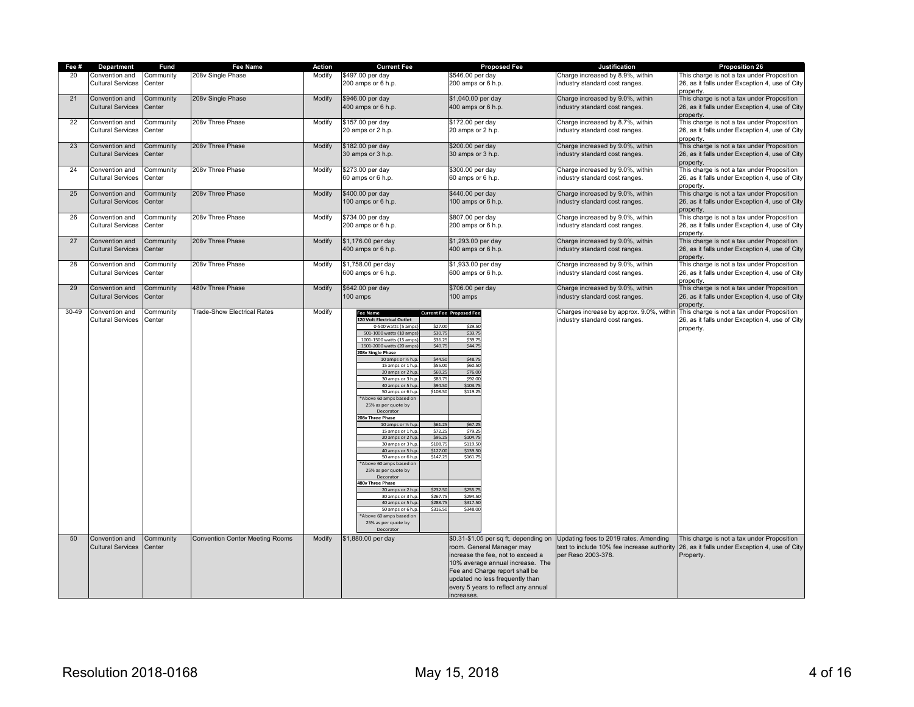| Fee # | Department                                 | Fund                | Fee Name                               | Action | <b>Current Fee</b>                                                                                                                                                                                                                                                                                                                                                                                                                                                                                                                                                                                                                                                                                                                                                                                                                                                                                                                                                                         | <b>Proposed Fee</b>                                                                                                                                                                                                                                                | <b>Justification</b>                                                                                                                            | <b>Proposition 26</b>                                                                                                 |
|-------|--------------------------------------------|---------------------|----------------------------------------|--------|--------------------------------------------------------------------------------------------------------------------------------------------------------------------------------------------------------------------------------------------------------------------------------------------------------------------------------------------------------------------------------------------------------------------------------------------------------------------------------------------------------------------------------------------------------------------------------------------------------------------------------------------------------------------------------------------------------------------------------------------------------------------------------------------------------------------------------------------------------------------------------------------------------------------------------------------------------------------------------------------|--------------------------------------------------------------------------------------------------------------------------------------------------------------------------------------------------------------------------------------------------------------------|-------------------------------------------------------------------------------------------------------------------------------------------------|-----------------------------------------------------------------------------------------------------------------------|
| 20    | Convention and<br><b>Cultural Services</b> | Community<br>Center | 208v Single Phase                      | Modify | \$497.00 per day<br>200 amps or 6 h.p.                                                                                                                                                                                                                                                                                                                                                                                                                                                                                                                                                                                                                                                                                                                                                                                                                                                                                                                                                     | \$546.00 per day<br>200 amps or 6 h.p.                                                                                                                                                                                                                             | Charge increased by 8.9%, within<br>industry standard cost ranges.                                                                              | This charge is not a tax under Proposition<br>26, as it falls under Exception 4, use of City                          |
| 21    | Convention and<br><b>Cultural Services</b> | Community<br>Center | 208v Single Phase                      | Modify | \$946.00 per day<br>400 amps or 6 h.p.                                                                                                                                                                                                                                                                                                                                                                                                                                                                                                                                                                                                                                                                                                                                                                                                                                                                                                                                                     | \$1,040.00 per day<br>400 amps or 6 h.p.                                                                                                                                                                                                                           | Charge increased by 9.0%, within<br>industry standard cost ranges.                                                                              | property<br>This charge is not a tax under Proposition<br>26, as it falls under Exception 4, use of City<br>property. |
| 22    | Convention and<br><b>Cultural Services</b> | Community<br>Center | 208v Three Phase                       | Modify | \$157.00 per day<br>20 amps or 2 h.p.                                                                                                                                                                                                                                                                                                                                                                                                                                                                                                                                                                                                                                                                                                                                                                                                                                                                                                                                                      | \$172.00 per day<br>20 amps or 2 h.p.                                                                                                                                                                                                                              | Charge increased by 8.7%, within<br>industry standard cost ranges.                                                                              | This charge is not a tax under Proposition<br>26, as it falls under Exception 4, use of City<br>property              |
| 23    | Convention and<br><b>Cultural Services</b> | Community<br>Center | 208v Three Phase                       | Modify | \$182.00 per day<br>30 amps or 3 h.p.                                                                                                                                                                                                                                                                                                                                                                                                                                                                                                                                                                                                                                                                                                                                                                                                                                                                                                                                                      | \$200.00 per day<br>30 amps or 3 h.p.                                                                                                                                                                                                                              | Charge increased by 9.0%, within<br>industry standard cost ranges.                                                                              | This charge is not a tax under Proposition<br>26, as it falls under Exception 4, use of City<br>property.             |
| 24    | Convention and<br><b>Cultural Services</b> | Community<br>Center | 208v Three Phase                       | Modify | \$273.00 per day<br>60 amps or 6 h.p.                                                                                                                                                                                                                                                                                                                                                                                                                                                                                                                                                                                                                                                                                                                                                                                                                                                                                                                                                      | \$300.00 per day<br>60 amps or 6 h.p.                                                                                                                                                                                                                              | Charge increased by 9.0%, within<br>industry standard cost ranges.                                                                              | This charge is not a tax under Proposition<br>26, as it falls under Exception 4, use of City<br>property              |
| 25    | Convention and<br><b>Cultural Services</b> | Community<br>Center | 208v Three Phase                       | Modify | \$400.00 per day<br>100 amps or 6 h.p.                                                                                                                                                                                                                                                                                                                                                                                                                                                                                                                                                                                                                                                                                                                                                                                                                                                                                                                                                     | \$440.00 per day<br>100 amps or 6 h.p.                                                                                                                                                                                                                             | Charge increased by 9.0%, within<br>industry standard cost ranges.                                                                              | This charge is not a tax under Proposition<br>26, as it falls under Exception 4, use of City<br>property              |
| 26    | Convention and<br><b>Cultural Services</b> | Community<br>Center | 208v Three Phase                       | Modify | \$734.00 per day<br>200 amps or 6 h.p.                                                                                                                                                                                                                                                                                                                                                                                                                                                                                                                                                                                                                                                                                                                                                                                                                                                                                                                                                     | \$807.00 per day<br>200 amps or 6 h.p.                                                                                                                                                                                                                             | Charge increased by 9.0%, within<br>industry standard cost ranges.                                                                              | This charge is not a tax under Proposition<br>26, as it falls under Exception 4, use of City<br>property.             |
| 27    | Convention and<br><b>Cultural Services</b> | Community<br>Center | 208v Three Phase                       | Modify | \$1,176.00 per day<br>400 amps or 6 h.p.                                                                                                                                                                                                                                                                                                                                                                                                                                                                                                                                                                                                                                                                                                                                                                                                                                                                                                                                                   | \$1,293.00 per day<br>400 amps or 6 h.p.                                                                                                                                                                                                                           | Charge increased by 9.0%, within<br>industry standard cost ranges.                                                                              | This charge is not a tax under Proposition<br>26, as it falls under Exception 4, use of City<br>property.             |
| 28    | Convention and<br><b>Cultural Services</b> | Community<br>Center | 208v Three Phase                       | Modify | \$1,758.00 per day<br>600 amps or 6 h.p.                                                                                                                                                                                                                                                                                                                                                                                                                                                                                                                                                                                                                                                                                                                                                                                                                                                                                                                                                   | \$1,933.00 per day<br>600 amps or 6 h.p.                                                                                                                                                                                                                           | Charge increased by 9.0%, within<br>industry standard cost ranges.                                                                              | This charge is not a tax under Proposition<br>26, as it falls under Exception 4, use of City<br>property              |
| 29    | Convention and<br><b>Cultural Services</b> | Community<br>Center | 480v Three Phase                       | Modify | \$642.00 per day<br>100 amps                                                                                                                                                                                                                                                                                                                                                                                                                                                                                                                                                                                                                                                                                                                                                                                                                                                                                                                                                               | \$706.00 per day<br>100 amps                                                                                                                                                                                                                                       | Charge increased by 9.0%, within<br>industry standard cost ranges.                                                                              | This charge is not a tax under Proposition<br>26, as it falls under Exception 4, use of City<br>property.             |
| 30-49 | Convention and<br><b>Cultural Services</b> | Community<br>Center | Trade-Show Electrical Rates            | Modify | <b>Fee Name</b><br>120 Volt Electrical Outlet<br>\$27.00<br>0-500 watts (5 amps<br>\$30.75<br>501-1000 watts (10 amps<br>\$36.2<br>1001-1500 watts (15 amps<br>1501-2000 watts (20 amps<br>\$40.75<br>208v Single Phase<br>\$44.50<br>10 amps or 1/2 h.p<br>15 amps or 1 h.p.<br>\$55.00<br>20 amps or 2 h.p<br>\$69.25<br>\$83.75<br>30 amps or 3 h.p<br>40 amps or 5 h.p<br>\$94.50<br>50 amps or 6 h.p<br>\$108.50<br>*Above 60 amps based on<br>25% as per quote by<br>Decorato<br>208v Three Phase<br>\$61.25<br>10 amps or 1/2 h.p<br>15 amps or 1 h.p.<br>\$72.25<br>20 amps or 2 h.p<br>\$95.25<br>\$108.75<br>30 amps or 3 h.p<br>\$127.00<br>40 amps or 5 h.p<br>50 amps or 6 h.p<br>\$147.25<br>*Above 60 amps based on<br>25% as per quote by<br>Decorato<br><b>480v Three Phase</b><br>\$232.5<br>20 amps or 2 h.p<br>\$267.7<br>30 amps or 3 h.p<br>40 amps or 5 h.p<br>\$288.7<br>\$316.5<br>50 amps or 6 h.p<br>*Above 60 amps based on<br>25% as per quote by<br>Decorato | <b>Current Fee Proposed Fee</b><br>\$29.50<br>\$33.75<br>\$39.7<br>\$44.7<br>\$48.75<br>\$60.50<br>\$76.00<br>\$92.00<br>\$103.75<br>\$119.25<br>\$67.25<br>\$79.29<br>\$104.75<br>\$119.5<br>\$139.50<br>\$161.75<br>\$255.75<br>\$294.50<br>\$317.50<br>\$348.00 | Charges increase by approx. 9.0%, within<br>industry standard cost ranges.                                                                      | This charge is not a tax under Proposition<br>26, as it falls under Exception 4, use of City<br>property.             |
| 50    | Convention and<br><b>Cultural Services</b> | Community<br>Center | <b>Convention Center Meeting Rooms</b> | Modify | \$1,880.00 per day                                                                                                                                                                                                                                                                                                                                                                                                                                                                                                                                                                                                                                                                                                                                                                                                                                                                                                                                                                         | room. General Manager may<br>increase the fee, not to exceed a<br>10% average annual increase. The<br>Fee and Charge report shall be<br>updated no less frequently than<br>every 5 years to reflect any annual<br>increases.                                       | \$0.31-\$1.05 per sq ft, depending on Updating fees to 2019 rates. Amending<br>text to include 10% fee increase authority<br>per Reso 2003-378. | This charge is not a tax under Proposition<br>26, as it falls under Exception 4, use of City<br>Property.             |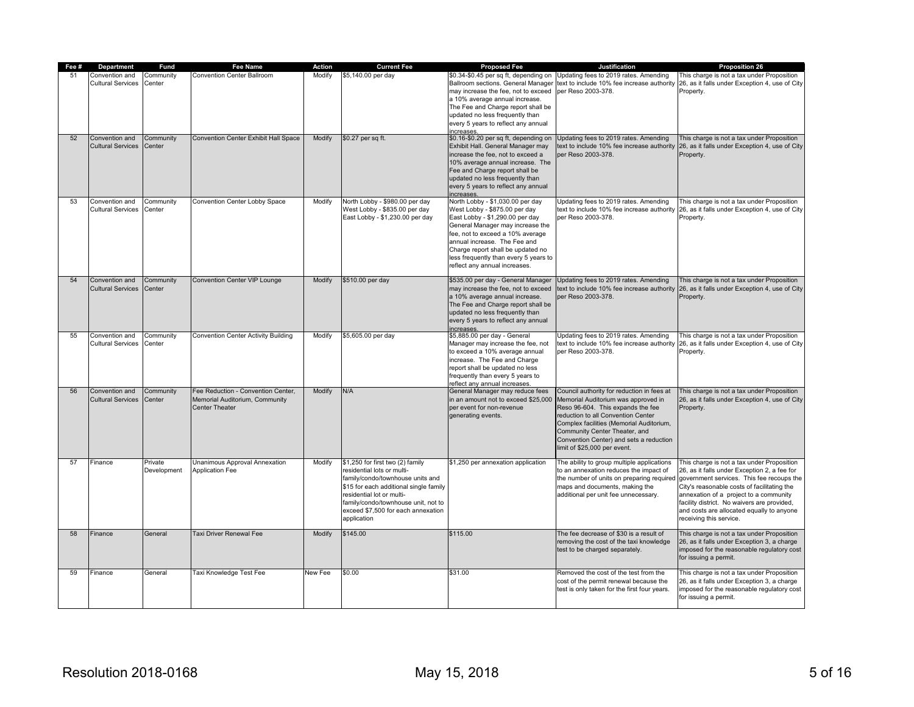| Fee # | Department                                 | Fund                   | Fee Name                                                                                      | Action  | <b>Current Fee</b>                                                                                                                                                                                                                                                    | <b>Proposed Fee</b>                                                                                                                                                                                                                                                                                                         | Justification                                                                                                                                                                                                                                                                                                        | <b>Proposition 26</b>                                                                                                                                                                                                                                                                                                                                                                             |
|-------|--------------------------------------------|------------------------|-----------------------------------------------------------------------------------------------|---------|-----------------------------------------------------------------------------------------------------------------------------------------------------------------------------------------------------------------------------------------------------------------------|-----------------------------------------------------------------------------------------------------------------------------------------------------------------------------------------------------------------------------------------------------------------------------------------------------------------------------|----------------------------------------------------------------------------------------------------------------------------------------------------------------------------------------------------------------------------------------------------------------------------------------------------------------------|---------------------------------------------------------------------------------------------------------------------------------------------------------------------------------------------------------------------------------------------------------------------------------------------------------------------------------------------------------------------------------------------------|
|       | Convention and<br><b>Cultural Services</b> | Community<br>Center    | <b>Convention Center Ballroom</b>                                                             | Modify  | \$5,140.00 per day                                                                                                                                                                                                                                                    | may increase the fee, not to exceed per Reso 2003-378.<br>a 10% average annual increase.<br>The Fee and Charge report shall be<br>updated no less frequently than<br>every 5 years to reflect any annual<br>increases                                                                                                       | \$0.34-\$0.45 per sq ft, depending on Updating fees to 2019 rates. Amending<br>Ballroom sections. General Manager text to include 10% fee increase authority                                                                                                                                                         | This charge is not a tax under Proposition<br>26, as it falls under Exception 4, use of City<br>Property.                                                                                                                                                                                                                                                                                         |
| 52    | Convention and<br><b>Cultural Services</b> | Community<br>Center    | <b>Convention Center Exhibit Hall Space</b>                                                   | Modify  | \$0.27 per sq ft.                                                                                                                                                                                                                                                     | \$0.16-\$0.20 per sq ft, depending on<br>Exhibit Hall. General Manager may<br>increase the fee, not to exceed a<br>10% average annual increase. The<br>Fee and Charge report shall be<br>updated no less frequently than<br>every 5 years to reflect any annual<br>increases                                                | Jpdating fees to 2019 rates. Amending<br>per Reso 2003-378.                                                                                                                                                                                                                                                          | This charge is not a tax under Proposition<br>text to include 10% fee increase authority 26, as it falls under Exception 4, use of City<br>Property.                                                                                                                                                                                                                                              |
| 53    | Convention and<br><b>Cultural Services</b> | Community<br>Center    | Convention Center Lobby Space                                                                 | Modify  | North Lobby - \$980.00 per day<br>West Lobby - \$835.00 per day<br>East Lobby - \$1,230.00 per day                                                                                                                                                                    | North Lobby - \$1,030.00 per day<br>West Lobby - \$875.00 per day<br>East Lobby - \$1,290.00 per day<br>General Manager may increase the<br>fee, not to exceed a 10% average<br>annual increase. The Fee and<br>Charge report shall be updated no<br>less frequently than every 5 years to<br>reflect any annual increases. | Updating fees to 2019 rates. Amending<br>per Reso 2003-378.                                                                                                                                                                                                                                                          | This charge is not a tax under Proposition<br>text to include 10% fee increase authority 26, as it falls under Exception 4, use of City<br>Property.                                                                                                                                                                                                                                              |
| 54    | Convention and<br><b>Cultural Services</b> | Community<br>Center    | Convention Center VIP Lounge                                                                  | Modify  | \$510.00 per day                                                                                                                                                                                                                                                      | \$535.00 per day - General Manager<br>may increase the fee, not to exceed<br>a 10% average annual increase.<br>The Fee and Charge report shall be<br>updated no less frequently than<br>every 5 years to reflect any annual<br>increases.                                                                                   | Updating fees to 2019 rates. Amending<br>text to include 10% fee increase authority<br>per Reso 2003-378.                                                                                                                                                                                                            | This charge is not a tax under Proposition<br>26, as it falls under Exception 4, use of City<br>Property.                                                                                                                                                                                                                                                                                         |
| 55    | Convention and<br><b>Cultural Services</b> | Community<br>Center    | Convention Center Activity Building                                                           | Modify  | \$5,605.00 per day                                                                                                                                                                                                                                                    | \$5,885.00 per day - General<br>Manager may increase the fee, not<br>to exceed a 10% average annual<br>increase. The Fee and Charge<br>report shall be updated no less<br>frequently than every 5 years to<br>reflect any annual increases.                                                                                 | Updating fees to 2019 rates. Amending<br>text to include 10% fee increase authority<br>per Reso 2003-378.                                                                                                                                                                                                            | This charge is not a tax under Proposition<br>26, as it falls under Exception 4, use of City<br>Property.                                                                                                                                                                                                                                                                                         |
| 56    | Convention and<br><b>Cultural Services</b> | Community<br>Center    | Fee Reduction - Convention Center,<br>Memorial Auditorium, Community<br><b>Center Theater</b> | Modify  | N/A                                                                                                                                                                                                                                                                   | General Manager may reduce fees<br>in an amount not to exceed \$25,000<br>per event for non-revenue<br>generating events.                                                                                                                                                                                                   | Council authority for reduction in fees at<br>Memorial Auditorium was approved in<br>Reso 96-604. This expands the fee<br>reduction to all Convention Center<br>Complex facilities (Memorial Auditorium,<br>Community Center Theater, and<br>Convention Center) and sets a reduction<br>limit of \$25,000 per event. | This charge is not a tax under Proposition<br>26, as it falls under Exception 4, use of City<br>Property.                                                                                                                                                                                                                                                                                         |
| 57    | Finance                                    | Private<br>Development | Unanimous Approval Annexation<br><b>Application Fee</b>                                       | Modify  | \$1,250 for first two (2) family<br>residential lots or multi-<br>family/condo/townhouse units and<br>\$15 for each additional single family<br>residential lot or multi-<br>family/condo/townhouse unit, not to<br>exceed \$7,500 for each annexation<br>application | \$1,250 per annexation application                                                                                                                                                                                                                                                                                          | The ability to group multiple applications<br>to an annexation reduces the impact of<br>maps and documents, making the<br>additional per unit fee unnecessary.                                                                                                                                                       | This charge is not a tax under Proposition<br>26, as it falls under Exception 2, a fee for<br>the number of units on preparing required government services. This fee recoups the<br>City's reasonable costs of facilitating the<br>annexation of a project to a community<br>facility district. No waivers are provided,<br>and costs are allocated equally to anyone<br>receiving this service. |
| 58    | Finance                                    | General                | Taxi Driver Renewal Fee                                                                       | Modify  | \$145.00                                                                                                                                                                                                                                                              | \$115.00                                                                                                                                                                                                                                                                                                                    | The fee decrease of \$30 is a result of<br>removing the cost of the taxi knowledge<br>test to be charged separately.                                                                                                                                                                                                 | This charge is not a tax under Proposition<br>26, as it falls under Exception 3, a charge<br>imposed for the reasonable regulatory cost<br>for issuing a permit.                                                                                                                                                                                                                                  |
| 59    | Finance                                    | General                | Taxi Knowledge Test Fee                                                                       | New Fee | \$0.00                                                                                                                                                                                                                                                                | \$31.00                                                                                                                                                                                                                                                                                                                     | Removed the cost of the test from the<br>cost of the permit renewal because the<br>test is only taken for the first four years.                                                                                                                                                                                      | This charge is not a tax under Proposition<br>26, as it falls under Exception 3, a charge<br>imposed for the reasonable regulatory cost<br>for issuing a permit.                                                                                                                                                                                                                                  |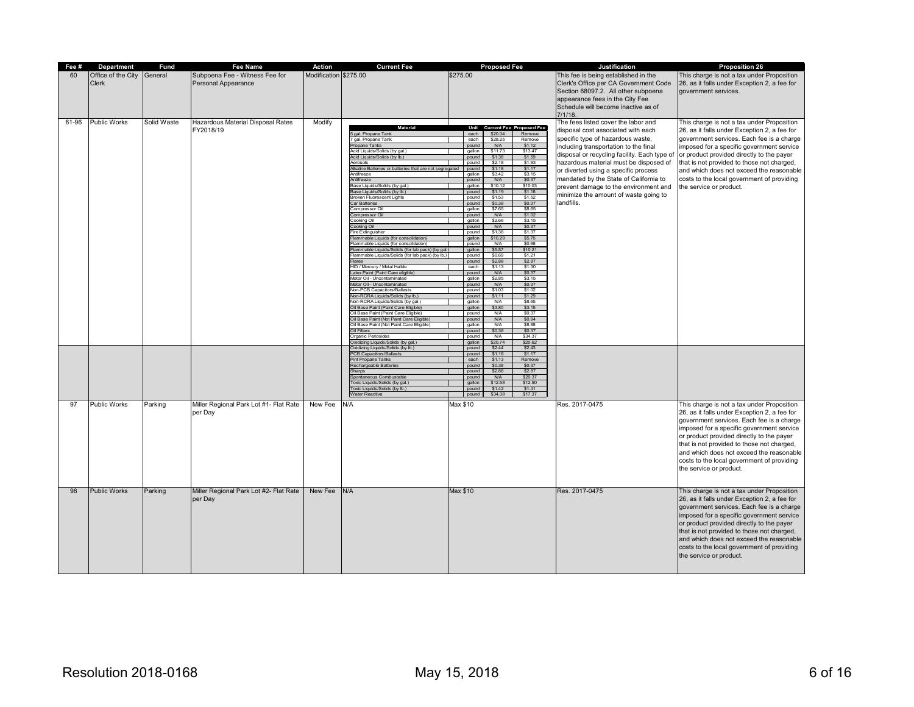| Fee # | Department          | <b>Fund</b> | Fee Name                               | Action                | <b>Current Fee</b>                                                             | <b>Proposed Fee</b>                                                  | <b>Justification</b>                         | Proposition 26                               |
|-------|---------------------|-------------|----------------------------------------|-----------------------|--------------------------------------------------------------------------------|----------------------------------------------------------------------|----------------------------------------------|----------------------------------------------|
| 60    | Office of the City  | General     | Subpoena Fee - Witness Fee for         | Modification \$275.00 |                                                                                | \$275.00                                                             | This fee is being established in the         | This charge is not a tax under Proposition   |
|       | Clerk               |             | <b>Personal Appearance</b>             |                       |                                                                                |                                                                      | Clerk's Office per CA Government Code        | 26, as it falls under Exception 2, a fee for |
|       |                     |             |                                        |                       |                                                                                |                                                                      | Section 68097.2. All other subpoena          | government services.                         |
|       |                     |             |                                        |                       |                                                                                |                                                                      | appearance fees in the City Fee              |                                              |
|       |                     |             |                                        |                       |                                                                                |                                                                      | Schedule will become inactive as of          |                                              |
|       |                     |             |                                        |                       |                                                                                |                                                                      | 7/1/18                                       |                                              |
| 61-96 | <b>Public Works</b> | Solid Waste | Hazardous Material Disposal Rates      | Modify                |                                                                                |                                                                      | The fees listed cover the labor and          | This charge is not a tax under Proposition   |
|       |                     |             | FY2018/19                              |                       | Material<br>5 gal. Propane Tank                                                | Unit<br><b>Current Fee Proposed Fee</b><br>each<br>\$20.34<br>Remove | disposal cost associated with each           | 26, as it falls under Exception 2, a fee for |
|       |                     |             |                                        |                       | 7 gal. Propane Tank                                                            | \$28.25<br>Remove<br>each                                            | specific type of hazardous waste,            | government services. Each fee is a charge    |
|       |                     |             |                                        |                       | Propane Tanks                                                                  | pound<br><b>N/A</b><br>\$1.12                                        | including transportation to the final        | imposed for a specific government service    |
|       |                     |             |                                        |                       | Acid Liquids/Solids (by gal.)<br>Acid Liquids/Solids (by lb.)                  | \$11.73<br>\$13.47<br>gallon<br>\$1.38<br>\$1.59<br>pound            | disposal or recycling facility. Each type of | or product provided directly to the payer    |
|       |                     |             |                                        |                       | erosols                                                                        | \$2.18<br>\$1,93<br>pound                                            | hazardous material must be disposed of       | that is not provided to those not charged,   |
|       |                     |             |                                        |                       | Alkaline Batteries or batteries that are not segregated<br>Antifreeze          | \$1.17<br>\$1.18<br>pound<br>\$3.42                                  | or diverted using a specific process         | and which does not exceed the reasonable     |
|       |                     |             |                                        |                       | Antifreeze                                                                     | \$3.15<br>gallon<br>\$0.37<br>pound<br><b>N/A</b>                    | mandated by the State of California to       | costs to the local government of providing   |
|       |                     |             |                                        |                       | Base Liquids/Solids (by gal.)                                                  | \$10.12<br>\$10.03<br>gallon                                         | prevent damage to the environment and        | the service or product.                      |
|       |                     |             |                                        |                       | Base Liquids/Solids (by lb.)<br><b>Broken Fluorescent Lights</b>               | pound<br>\$1.19<br>\$1.18<br>\$1.53<br>\$1.52<br>pound               | minimize the amount of waste going to        |                                              |
|       |                     |             |                                        |                       | <b>Car Batteries</b>                                                           | \$0.37<br>\$0.38<br>pound                                            | landfills.                                   |                                              |
|       |                     |             |                                        |                       | Compressor Oil                                                                 | \$8.65<br>gallon<br>\$7.65                                           |                                              |                                              |
|       |                     |             |                                        |                       | Compressor Oil<br>Cooking Oil                                                  | N/A<br>\$102<br>pound<br>gallon<br>\$2.66<br>\$3.15                  |                                              |                                              |
|       |                     |             |                                        |                       | Cooking Oil                                                                    | \$0.37<br><b>N/A</b><br>pound                                        |                                              |                                              |
|       |                     |             |                                        |                       | Fire Extinguisher                                                              | \$138<br>pound<br>\$1.37                                             |                                              |                                              |
|       |                     |             |                                        |                       | Flammable Liquids (for consolidation)<br>Flammable Liquids (for consolidation) | gallon<br>\$10.29<br>\$5.75<br>\$0.68<br><b>N/A</b><br>nound         |                                              |                                              |
|       |                     |             |                                        |                       | Flammable Liquids/Solids (for lab pack) (by gal.                               | \$5.87<br>\$10.21<br>gallon                                          |                                              |                                              |
|       |                     |             |                                        |                       | lammable Liquids/Solids (for lab pack) (by lb.)                                | \$0.69<br>\$1.21<br>pound                                            |                                              |                                              |
|       |                     |             |                                        |                       | <b>Flares</b><br>HID / Mercury / Metal Halide                                  | \$2.87<br>pound<br>\$2.88<br>each<br>\$1.13<br>\$1.30                |                                              |                                              |
|       |                     |             |                                        |                       | Latex Paint (Paint Care eligible)                                              | \$0.37<br><b>N/A</b><br>pound                                        |                                              |                                              |
|       |                     |             |                                        |                       | Motor Oil - Uncontaminated                                                     | gallon<br><b>\$2.85</b><br>\$3.15                                    |                                              |                                              |
|       |                     |             |                                        |                       | Motor Oil - Uncontaminated<br>Non-PCB Canacitors/Ballasts                      | <b>N/A</b><br>\$0.37<br>pound<br>pound<br>\$1.03<br>\$102            |                                              |                                              |
|       |                     |             |                                        |                       | Non-RCRA Liquids/Solids (by lb.)                                               | \$1.29<br>pound<br>\$1.11                                            |                                              |                                              |
|       |                     |             |                                        |                       | Non-RCRA Liquids/Solids (by gal.)                                              | \$8.65<br><b>N/A</b><br>gallon                                       |                                              |                                              |
|       |                     |             |                                        |                       | Oil Base Paint (Paint Care Eligible)<br>Oil Base Paint (Paint Care Eligible)   | gallon<br>\$3.80<br>\$3.15<br><b>N/A</b><br>\$0.37<br>pound          |                                              |                                              |
|       |                     |             |                                        |                       | Oil Base Paint (Not Paint Care Eligible)                                       | <b>N/A</b><br>\$0.94<br>pound                                        |                                              |                                              |
|       |                     |             |                                        |                       | Oil Base Paint (Not Paint Care Eligible)<br>Oil Filters                        | <b>N/A</b><br>\$8.88<br>gallon<br>\$0.37<br>\$0.38<br>pound          |                                              |                                              |
|       |                     |             |                                        |                       | Organic Perioxides                                                             | <b>N/A</b><br>\$34.37<br>pound                                       |                                              |                                              |
|       |                     |             |                                        |                       | Oxidizing Liquids/Solids (by gal.)                                             | \$20.74<br>\$20.62<br>gallon                                         |                                              |                                              |
|       |                     |             |                                        |                       | Oxidizing Liquids/Solids (by lb.)<br><b>PCB Capacitors/Ballasts</b>            | pound<br>\$2.44<br>\$2.43<br>\$1.17<br>pound<br>\$1.18               |                                              |                                              |
|       |                     |             |                                        |                       | Pint Propane Tanks                                                             | \$1.13<br>Remove<br>each                                             |                                              |                                              |
|       |                     |             |                                        |                       | Rechargeable Batteries                                                         | \$0.38<br>\$0.37<br>pound                                            |                                              |                                              |
|       |                     |             |                                        |                       | Sharps<br>Spontaneous Combustable                                              | \$2.88<br>\$2.87<br>pound<br>\$20.37<br>pound<br>N/A                 |                                              |                                              |
|       |                     |             |                                        |                       | Toxic Liquids/Solids (by gal.)                                                 | \$12.50<br>\$12.58<br>gallon                                         |                                              |                                              |
|       |                     |             |                                        |                       | Toxic Liquids/Solids (by lb.)                                                  | \$1.42<br>pound<br>\$1.41                                            |                                              |                                              |
|       |                     |             |                                        |                       | <b>Water Reactive</b>                                                          | \$34.38<br>\$17.37<br>pound                                          |                                              |                                              |
| 97    | <b>Public Works</b> | Parking     | Miller Regional Park Lot #1- Flat Rate | New Fee               | N/A                                                                            | Max \$10                                                             | Res. 2017-0475                               | This charge is not a tax under Proposition   |
|       |                     |             | per Day                                |                       |                                                                                |                                                                      |                                              | 26, as it falls under Exception 2, a fee for |
|       |                     |             |                                        |                       |                                                                                |                                                                      |                                              | government services. Each fee is a charge    |
|       |                     |             |                                        |                       |                                                                                |                                                                      |                                              | imposed for a specific government service    |
|       |                     |             |                                        |                       |                                                                                |                                                                      |                                              | or product provided directly to the payer    |
|       |                     |             |                                        |                       |                                                                                |                                                                      |                                              | that is not provided to those not charged,   |
|       |                     |             |                                        |                       |                                                                                |                                                                      |                                              | and which does not exceed the reasonable     |
|       |                     |             |                                        |                       |                                                                                |                                                                      |                                              | costs to the local government of providing   |
|       |                     |             |                                        |                       |                                                                                |                                                                      |                                              | the service or product.                      |
|       |                     |             |                                        |                       |                                                                                |                                                                      |                                              |                                              |
|       |                     |             |                                        |                       |                                                                                |                                                                      |                                              |                                              |
| 98    | <b>Public Works</b> | Parking     | Miller Regional Park Lot #2- Flat Rate | New Fee               | N/A                                                                            | Max \$10                                                             | Res. 2017-0475                               | This charge is not a tax under Proposition   |
|       |                     |             | per Day                                |                       |                                                                                |                                                                      |                                              | 26, as it falls under Exception 2, a fee for |
|       |                     |             |                                        |                       |                                                                                |                                                                      |                                              | government services. Each fee is a charge    |
|       |                     |             |                                        |                       |                                                                                |                                                                      |                                              | imposed for a specific government service    |
|       |                     |             |                                        |                       |                                                                                |                                                                      |                                              | or product provided directly to the payer    |
|       |                     |             |                                        |                       |                                                                                |                                                                      |                                              | that is not provided to those not charged,   |
|       |                     |             |                                        |                       |                                                                                |                                                                      |                                              | and which does not exceed the reasonable     |
|       |                     |             |                                        |                       |                                                                                |                                                                      |                                              | costs to the local government of providing   |
|       |                     |             |                                        |                       |                                                                                |                                                                      |                                              | the service or product.                      |
|       |                     |             |                                        |                       |                                                                                |                                                                      |                                              |                                              |
|       |                     |             |                                        |                       |                                                                                |                                                                      |                                              |                                              |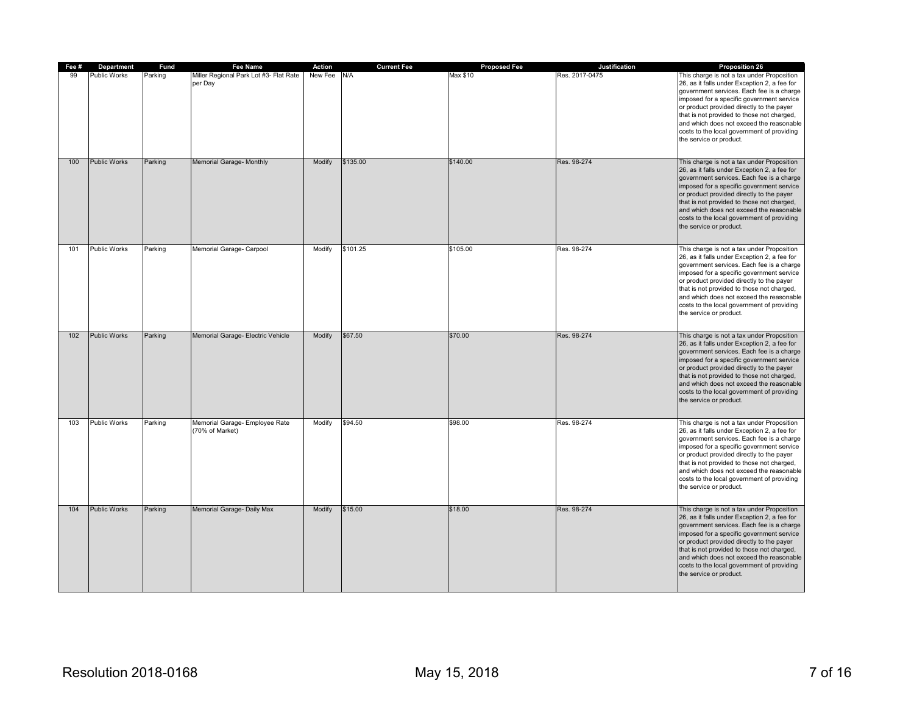| Fee # | Department          | Fund    | Fee Name                                          | Action  | <b>Current Fee</b> | <b>Proposed Fee</b> | Justification  | Proposition 26                                                                                                                                                                                                                                                                                                                                                                                       |
|-------|---------------------|---------|---------------------------------------------------|---------|--------------------|---------------------|----------------|------------------------------------------------------------------------------------------------------------------------------------------------------------------------------------------------------------------------------------------------------------------------------------------------------------------------------------------------------------------------------------------------------|
| 99    | Public Works        | Parking | Miller Regional Park Lot #3- Flat Rate<br>per Day | New Fee | N/A                | Max \$10            | Res. 2017-0475 | This charge is not a tax under Proposition<br>26, as it falls under Exception 2, a fee for<br>government services. Each fee is a charge<br>imposed for a specific government service<br>or product provided directly to the payer<br>that is not provided to those not charged,<br>and which does not exceed the reasonable<br>costs to the local government of providing<br>the service or product. |
| 100   | <b>Public Works</b> | Parking | Memorial Garage- Monthly                          | Modify  | \$135.00           | \$140.00            | Res. 98-274    | This charge is not a tax under Proposition<br>26, as it falls under Exception 2, a fee for<br>government services. Each fee is a charge<br>imposed for a specific government service<br>or product provided directly to the payer<br>that is not provided to those not charged,<br>and which does not exceed the reasonable<br>costs to the local government of providing<br>the service or product. |
| 101   | <b>Public Works</b> | Parking | Memorial Garage- Carpool                          | Modify  | \$101.25           | \$105.00            | Res. 98-274    | This charge is not a tax under Proposition<br>26, as it falls under Exception 2, a fee for<br>government services. Each fee is a charge<br>imposed for a specific government service<br>or product provided directly to the payer<br>that is not provided to those not charged,<br>and which does not exceed the reasonable<br>costs to the local government of providing<br>the service or product. |
| 102   | <b>Public Works</b> | Parking | Memorial Garage- Electric Vehicle                 | Modify  | \$67.50            | \$70.00             | Res. 98-274    | This charge is not a tax under Proposition<br>26, as it falls under Exception 2, a fee for<br>government services. Each fee is a charge<br>imposed for a specific government service<br>or product provided directly to the payer<br>that is not provided to those not charged,<br>and which does not exceed the reasonable<br>costs to the local government of providing<br>the service or product. |
| 103   | <b>Public Works</b> | Parking | Memorial Garage- Employee Rate<br>(70% of Market) | Modify  | \$94.50            | \$98.00             | Res. 98-274    | This charge is not a tax under Proposition<br>26, as it falls under Exception 2, a fee for<br>government services. Each fee is a charge<br>imposed for a specific government service<br>or product provided directly to the payer<br>that is not provided to those not charged,<br>and which does not exceed the reasonable<br>costs to the local government of providing<br>the service or product. |
| 104   | <b>Public Works</b> | Parking | Memorial Garage- Daily Max                        | Modify  | \$15.00            | \$18.00             | Res. 98-274    | This charge is not a tax under Proposition<br>26, as it falls under Exception 2, a fee for<br>government services. Each fee is a charge<br>imposed for a specific government service<br>or product provided directly to the payer<br>that is not provided to those not charged,<br>and which does not exceed the reasonable<br>costs to the local government of providing<br>the service or product. |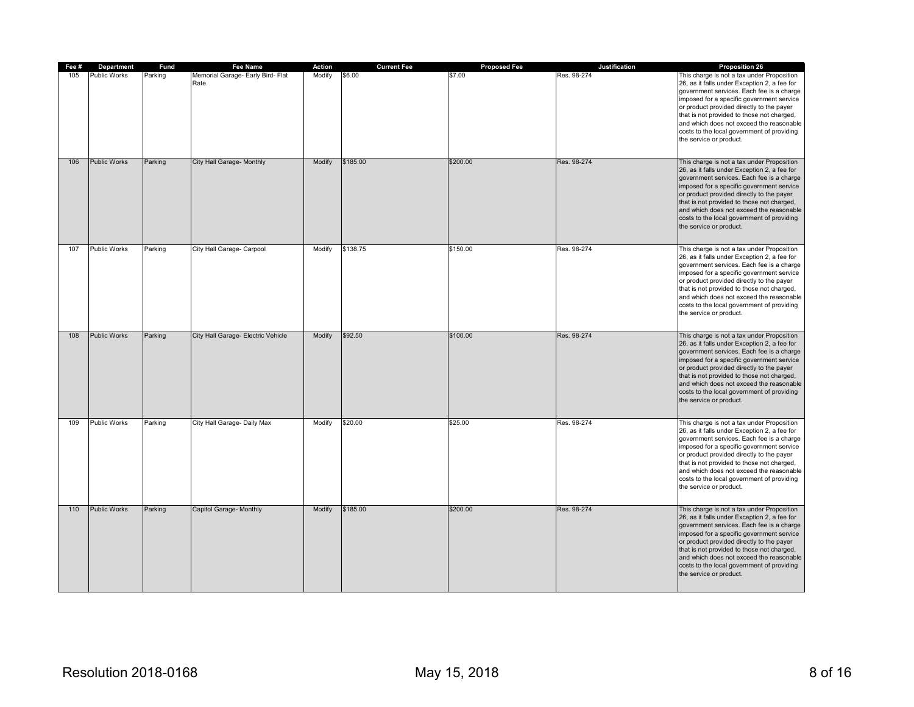| Fee # | Department          | Fund    | Fee Name                                  | Action | <b>Current Fee</b> | <b>Proposed Fee</b> | Justification | Proposition 26                                                                                                                                                                                                                                                                                                                                                                                       |
|-------|---------------------|---------|-------------------------------------------|--------|--------------------|---------------------|---------------|------------------------------------------------------------------------------------------------------------------------------------------------------------------------------------------------------------------------------------------------------------------------------------------------------------------------------------------------------------------------------------------------------|
| 105   | <b>Public Works</b> | Parking | Memorial Garage- Early Bird- Flat<br>Rate | Modify | \$6.00             | \$7.00              | Res. 98-274   | This charge is not a tax under Proposition<br>26, as it falls under Exception 2, a fee for<br>government services. Each fee is a charge<br>imposed for a specific government service<br>or product provided directly to the payer<br>that is not provided to those not charged,<br>and which does not exceed the reasonable<br>costs to the local government of providing<br>the service or product. |
| 106   | <b>Public Works</b> | Parking | City Hall Garage- Monthly                 | Modify | \$185.00           | \$200.00            | Res. 98-274   | This charge is not a tax under Proposition<br>26, as it falls under Exception 2, a fee for<br>government services. Each fee is a charge<br>imposed for a specific government service<br>or product provided directly to the payer<br>that is not provided to those not charged,<br>and which does not exceed the reasonable<br>costs to the local government of providing<br>the service or product. |
| 107   | <b>Public Works</b> | Parking | City Hall Garage- Carpool                 | Modify | \$138.75           | \$150.00            | Res. 98-274   | This charge is not a tax under Proposition<br>26, as it falls under Exception 2, a fee for<br>government services. Each fee is a charge<br>imposed for a specific government service<br>or product provided directly to the payer<br>that is not provided to those not charged,<br>and which does not exceed the reasonable<br>costs to the local government of providing<br>the service or product. |
| 108   | <b>Public Works</b> | Parking | City Hall Garage- Electric Vehicle        | Modify | \$92.50            | \$100.00            | Res. 98-274   | This charge is not a tax under Proposition<br>26, as it falls under Exception 2, a fee for<br>government services. Each fee is a charge<br>imposed for a specific government service<br>or product provided directly to the payer<br>that is not provided to those not charged,<br>and which does not exceed the reasonable<br>costs to the local government of providing<br>the service or product. |
| 109   | <b>Public Works</b> | Parking | City Hall Garage- Daily Max               | Modify | \$20.00            | \$25.00             | Res. 98-274   | This charge is not a tax under Proposition<br>26, as it falls under Exception 2, a fee for<br>government services. Each fee is a charge<br>imposed for a specific government service<br>or product provided directly to the payer<br>that is not provided to those not charged,<br>and which does not exceed the reasonable<br>costs to the local government of providing<br>the service or product. |
| 110   | <b>Public Works</b> | Parking | Capitol Garage- Monthly                   | Modify | \$185.00           | \$200.00            | Res. 98-274   | This charge is not a tax under Proposition<br>26, as it falls under Exception 2, a fee for<br>government services. Each fee is a charge<br>imposed for a specific government service<br>or product provided directly to the payer<br>that is not provided to those not charged,<br>and which does not exceed the reasonable<br>costs to the local government of providing<br>the service or product. |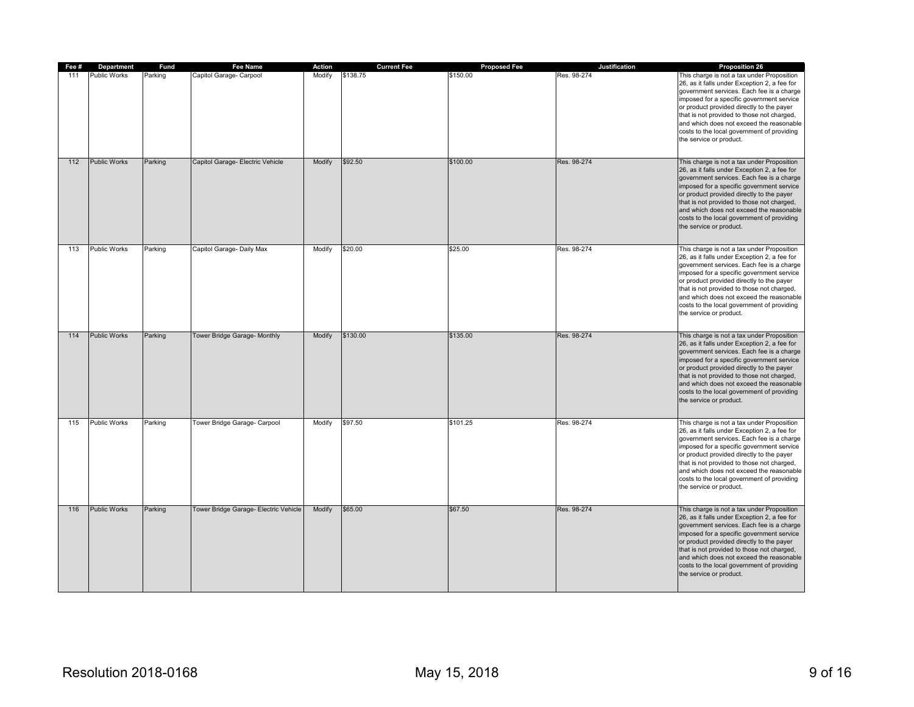| Fee # | Department          | <b>Fund</b> | Fee Name                              | Action | <b>Current Fee</b> | <b>Proposed Fee</b> | Justification | Proposition 26                                                                                                                                                                                                                                                                                                                                                                                       |
|-------|---------------------|-------------|---------------------------------------|--------|--------------------|---------------------|---------------|------------------------------------------------------------------------------------------------------------------------------------------------------------------------------------------------------------------------------------------------------------------------------------------------------------------------------------------------------------------------------------------------------|
| 111   | <b>Public Works</b> | Parking     | Capitol Garage- Carpool               | Modify | \$138.75           | \$150.00            | Res. 98-274   | This charge is not a tax under Proposition<br>26, as it falls under Exception 2, a fee for<br>government services. Each fee is a charge<br>imposed for a specific government service<br>or product provided directly to the payer<br>that is not provided to those not charged,<br>and which does not exceed the reasonable<br>costs to the local government of providing<br>the service or product. |
| 112   | <b>Public Works</b> | Parking     | Capitol Garage- Electric Vehicle      | Modify | \$92.50            | \$100.00            | Res. 98-274   | This charge is not a tax under Proposition<br>26, as it falls under Exception 2, a fee for<br>government services. Each fee is a charge<br>imposed for a specific government service<br>or product provided directly to the payer<br>that is not provided to those not charged,<br>and which does not exceed the reasonable<br>costs to the local government of providing<br>the service or product. |
| 113   | <b>Public Works</b> | Parking     | Capitol Garage- Daily Max             | Modify | \$20.00            | \$25.00             | Res. 98-274   | This charge is not a tax under Proposition<br>26, as it falls under Exception 2, a fee for<br>government services. Each fee is a charge<br>imposed for a specific government service<br>or product provided directly to the payer<br>that is not provided to those not charged,<br>and which does not exceed the reasonable<br>costs to the local government of providing<br>the service or product. |
| 114   | <b>Public Works</b> | Parking     | Tower Bridge Garage- Monthly          | Modify | \$130.00           | \$135.00            | Res. 98-274   | This charge is not a tax under Proposition<br>26, as it falls under Exception 2, a fee for<br>government services. Each fee is a charge<br>imposed for a specific government service<br>or product provided directly to the payer<br>that is not provided to those not charged,<br>and which does not exceed the reasonable<br>costs to the local government of providing<br>the service or product. |
| 115   | <b>Public Works</b> | Parking     | Tower Bridge Garage- Carpool          | Modify | \$97.50            | \$101.25            | Res. 98-274   | This charge is not a tax under Proposition<br>26, as it falls under Exception 2, a fee for<br>government services. Each fee is a charge<br>imposed for a specific government service<br>or product provided directly to the payer<br>that is not provided to those not charged,<br>and which does not exceed the reasonable<br>costs to the local government of providing<br>the service or product. |
| 116   | <b>Public Works</b> | Parking     | Tower Bridge Garage- Electric Vehicle | Modify | \$65.00            | \$67.50             | Res. 98-274   | This charge is not a tax under Proposition<br>26, as it falls under Exception 2, a fee for<br>government services. Each fee is a charge<br>imposed for a specific government service<br>or product provided directly to the payer<br>that is not provided to those not charged,<br>and which does not exceed the reasonable<br>costs to the local government of providing<br>the service or product. |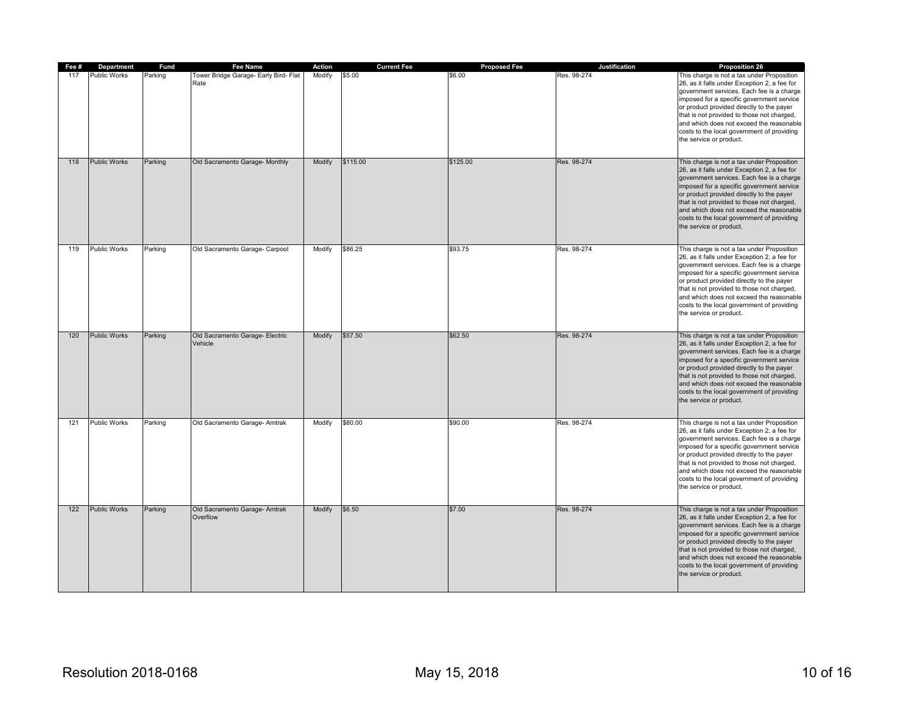| Fee # | <b>Department</b>   | Fund    | Fee Name                                      | Action | <b>Current Fee</b> | <b>Proposed Fee</b> | Justification | Proposition 26                                                                                                                                                                                                                                                                                                                                                                                       |
|-------|---------------------|---------|-----------------------------------------------|--------|--------------------|---------------------|---------------|------------------------------------------------------------------------------------------------------------------------------------------------------------------------------------------------------------------------------------------------------------------------------------------------------------------------------------------------------------------------------------------------------|
| 117   | <b>Public Works</b> | Parking | Tower Bridge Garage- Early Bird- Flat<br>Rate | Modify | \$5.00             | \$6.00              | Res. 98-274   | This charge is not a tax under Proposition<br>26, as it falls under Exception 2, a fee for<br>government services. Each fee is a charge<br>imposed for a specific government service<br>or product provided directly to the payer<br>that is not provided to those not charged,<br>and which does not exceed the reasonable<br>costs to the local government of providing<br>the service or product. |
| 118   | <b>Public Works</b> | Parking | Old Sacramento Garage- Monthly                | Modify | \$115.00           | \$125.00            | Res. 98-274   | This charge is not a tax under Proposition<br>26, as it falls under Exception 2, a fee for<br>government services. Each fee is a charge<br>imposed for a specific government service<br>or product provided directly to the payer<br>that is not provided to those not charged,<br>and which does not exceed the reasonable<br>costs to the local government of providing<br>the service or product. |
| 119   | <b>Public Works</b> | Parking | Old Sacramento Garage- Carpool                | Modify | \$86.25            | \$93.75             | Res. 98-274   | This charge is not a tax under Proposition<br>26, as it falls under Exception 2, a fee for<br>government services. Each fee is a charge<br>imposed for a specific government service<br>or product provided directly to the payer<br>that is not provided to those not charged,<br>and which does not exceed the reasonable<br>costs to the local government of providing<br>the service or product. |
| 120   | <b>Public Works</b> | Parking | Old Sacramento Garage- Electric<br>Vehicle    | Modify | \$57.50            | \$62.50             | Res. 98-274   | This charge is not a tax under Proposition<br>26, as it falls under Exception 2, a fee for<br>government services. Each fee is a charge<br>imposed for a specific government service<br>or product provided directly to the payer<br>that is not provided to those not charged,<br>and which does not exceed the reasonable<br>costs to the local government of providing<br>the service or product. |
| 121   | <b>Public Works</b> | Parking | Old Sacramento Garage- Amtrak                 | Modify | \$80.00            | \$90.00             | Res. 98-274   | This charge is not a tax under Proposition<br>26, as it falls under Exception 2, a fee for<br>government services. Each fee is a charge<br>imposed for a specific government service<br>or product provided directly to the payer<br>that is not provided to those not charged,<br>and which does not exceed the reasonable<br>costs to the local government of providing<br>the service or product. |
| 122   | <b>Public Works</b> | Parking | Old Sacramento Garage- Amtrak<br>Overflow     | Modify | \$6.50             | \$7.00              | Res. 98-274   | This charge is not a tax under Proposition<br>26, as it falls under Exception 2, a fee for<br>government services. Each fee is a charge<br>imposed for a specific government service<br>or product provided directly to the payer<br>that is not provided to those not charged,<br>and which does not exceed the reasonable<br>costs to the local government of providing<br>the service or product. |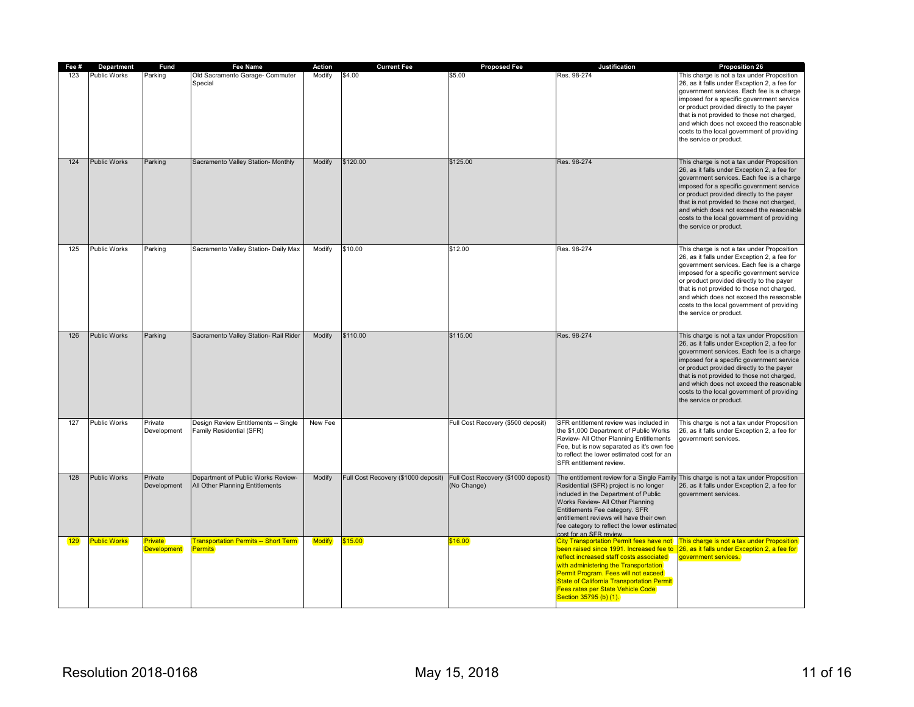| Fee # | Department          | Fund                   | <b>Fee Name</b>                                                       | Action        | <b>Current Fee</b> | <b>Proposed Fee</b>                                                                    | Justification                                                                                                                                                                                                                                                                                                                               | <b>Proposition 26</b>                                                                                                                                                                                                                                                                                                                                                                                |
|-------|---------------------|------------------------|-----------------------------------------------------------------------|---------------|--------------------|----------------------------------------------------------------------------------------|---------------------------------------------------------------------------------------------------------------------------------------------------------------------------------------------------------------------------------------------------------------------------------------------------------------------------------------------|------------------------------------------------------------------------------------------------------------------------------------------------------------------------------------------------------------------------------------------------------------------------------------------------------------------------------------------------------------------------------------------------------|
| 123   | Public Works        | Parking                | Old Sacramento Garage- Commuter<br>Special                            | Modify        | \$4.00             | \$5.00                                                                                 | Res. 98-274                                                                                                                                                                                                                                                                                                                                 | This charge is not a tax under Proposition<br>26, as it falls under Exception 2, a fee for<br>government services. Each fee is a charge<br>imposed for a specific government service<br>or product provided directly to the payer<br>that is not provided to those not charged,<br>and which does not exceed the reasonable<br>costs to the local government of providing<br>the service or product. |
| 124   | <b>Public Works</b> | Parking                | Sacramento Valley Station- Monthly                                    | Modify        | \$120.00           | \$125.00                                                                               | Res. 98-274                                                                                                                                                                                                                                                                                                                                 | This charge is not a tax under Proposition<br>26, as it falls under Exception 2, a fee for<br>government services. Each fee is a charge<br>imposed for a specific government service<br>or product provided directly to the payer<br>that is not provided to those not charged,<br>and which does not exceed the reasonable<br>costs to the local government of providing<br>the service or product. |
| 125   | <b>Public Works</b> | Parking                | Sacramento Valley Station- Daily Max                                  | Modify        | \$10.00            | \$12.00                                                                                | Res. 98-274                                                                                                                                                                                                                                                                                                                                 | This charge is not a tax under Proposition<br>26, as it falls under Exception 2, a fee for<br>government services. Each fee is a charge<br>imposed for a specific government service<br>or product provided directly to the payer<br>that is not provided to those not charged,<br>and which does not exceed the reasonable<br>costs to the local government of providing<br>the service or product. |
| 126   | <b>Public Works</b> | Parking                | Sacramento Valley Station- Rail Rider                                 | Modify        | \$110.00           | \$115.00                                                                               | Res. 98-274                                                                                                                                                                                                                                                                                                                                 | This charge is not a tax under Proposition<br>26, as it falls under Exception 2, a fee for<br>government services. Each fee is a charge<br>imposed for a specific government service<br>or product provided directly to the payer<br>that is not provided to those not charged,<br>and which does not exceed the reasonable<br>costs to the local government of providing<br>the service or product. |
| 127   | Public Works        | Private<br>Development | Design Review Entitlements -- Single<br>Family Residential (SFR)      | New Fee       |                    | Full Cost Recovery (\$500 deposit)                                                     | SFR entitlement review was included in<br>the \$1,000 Department of Public Works<br>Review- All Other Planning Entitlements<br>Fee, but is now separated as it's own fee<br>to reflect the lower estimated cost for an<br>SFR entitlement review.                                                                                           | This charge is not a tax under Proposition<br>26, as it falls under Exception 2, a fee for<br>government services.                                                                                                                                                                                                                                                                                   |
| 128   | <b>Public Works</b> | Private<br>Development | Department of Public Works Review-<br>All Other Planning Entitlements | Modify        |                    | Full Cost Recovery (\$1000 deposit) Full Cost Recovery (\$1000 deposit)<br>(No Change) | Residential (SFR) project is no longer<br>included in the Department of Public<br>Works Review- All Other Planning<br>Entitlements Fee category. SFR<br>entitlement reviews will have their own<br>fee category to reflect the lower estimated<br>cost for an SFR review.                                                                   | The entitlement review for a Single Family This charge is not a tax under Proposition<br>26, as it falls under Exception 2, a fee for<br>government services.                                                                                                                                                                                                                                        |
| 129   | Public Works        | Private<br>Development | <b>Fransportation Permits -- Short Term</b><br>Permits <sup>1</sup>   | <b>Modify</b> | 315.00             | 16.00                                                                                  | <b>City Transportation Permit fees have not</b><br>been raised since 1991. Increased fee to<br>reflect increased staff costs associated<br>with administering the Transportation<br>Permit Program. Fees will not exceed<br>State of California Transportation Permit<br><b>Fees rates per State Vehicle Code</b><br>Section 35795 (b) (1). | This charge is not a tax under Proposition<br>26, as it falls under Exception 2, a fee for<br>government services.                                                                                                                                                                                                                                                                                   |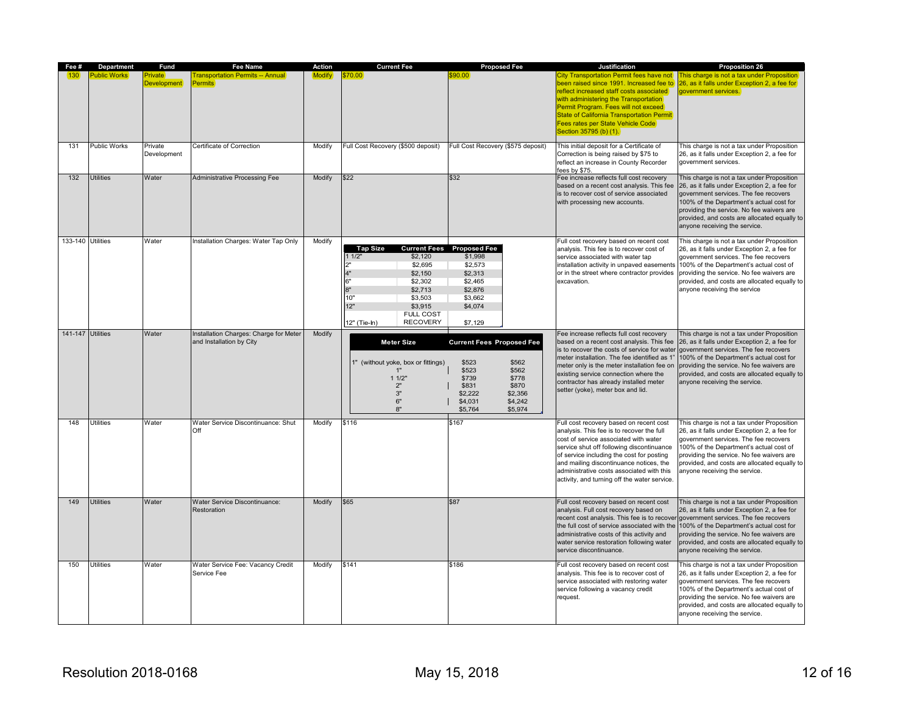| Fee #             | Department       | <b>Fund</b>            | <b>Fee Name</b>                                                    | Action | <b>Current Fee</b>                                                                                                                                                                        | <b>Proposed Fee</b>                                                                                                                                                        | Justification                                                                                                                                                                                                                                                                                                                                                   | <b>Proposition 26</b>                                                                                                                                                                                                                                                                                         |
|-------------------|------------------|------------------------|--------------------------------------------------------------------|--------|-------------------------------------------------------------------------------------------------------------------------------------------------------------------------------------------|----------------------------------------------------------------------------------------------------------------------------------------------------------------------------|-----------------------------------------------------------------------------------------------------------------------------------------------------------------------------------------------------------------------------------------------------------------------------------------------------------------------------------------------------------------|---------------------------------------------------------------------------------------------------------------------------------------------------------------------------------------------------------------------------------------------------------------------------------------------------------------|
|                   | Public Works     | rivate<br>evelopment   | <b>Transportation Permits -- Annual</b><br>Permits                 | Modify | \$70.00                                                                                                                                                                                   | :90.00                                                                                                                                                                     | City Transportation Permit fees have not<br>een raised since 1991. Increased fee to<br>reflect increased staff costs associated<br>with administering the Transportation<br>Permit Program. Fees will not exceed<br>State of California Transportation Permit<br>Fees rates per State Vehicle Code<br>Section 35795 (b) (1).                                    | This charge is not a tax under Proposition i<br>26, as it falls under Exception 2, a fee for<br>government services.                                                                                                                                                                                          |
| 131               | Public Works     | Private<br>Development | Certificate of Correction                                          | Modify | Full Cost Recovery (\$500 deposit)                                                                                                                                                        | Full Cost Recovery (\$575 deposit)                                                                                                                                         | This initial deposit for a Certificate of<br>Correction is being raised by \$75 to<br>reflect an increase in County Recorder<br>fees by \$75.                                                                                                                                                                                                                   | This charge is not a tax under Proposition<br>26, as it falls under Exception 2, a fee for<br>aovernment services.                                                                                                                                                                                            |
| 132               | <b>Utilities</b> | Water                  | <b>Administrative Processing Fee</b>                               | Modify | \$22                                                                                                                                                                                      | \$32                                                                                                                                                                       | Fee increase reflects full cost recovery<br>based on a recent cost analysis. This fee<br>is to recover cost of service associated<br>with processing new accounts.                                                                                                                                                                                              | This charge is not a tax under Proposition<br>26, as it falls under Exception 2, a fee for<br>government services. The fee recovers<br>100% of the Department's actual cost for<br>providing the service. No fee waivers are<br>provided, and costs are allocated equally to<br>anyone receiving the service. |
| 133-140 Utilities |                  | Water                  | Installation Charges: Water Tap Only                               | Modify | <b>Tap Size</b><br>11/2"<br>\$2,120<br>\$2.695<br>\$2,150<br>6'<br>\$2,302<br>$R^*$<br>\$2,713<br>10"<br>\$3,503<br>12"<br>\$3.915<br><b>FULL COST</b><br><b>RECOVERY</b><br>12" (Tie-In) | <b>Current Fees</b> Proposed Fee<br>\$1,998<br>\$2,573<br>\$2,313<br>\$2,465<br>\$2,876<br>\$3,662<br>\$4,074<br>\$7,129                                                   | Full cost recovery based on recent cost<br>analysis. This fee is to recover cost of<br>service associated with water tap<br>installation activity in unpaved easements<br>or in the street where contractor provides<br>excavation.                                                                                                                             | This charge is not a tax under Proposition<br>26, as it falls under Exception 2, a fee for<br>government services. The fee recovers<br>100% of the Department's actual cost of<br>providing the service. No fee waivers are<br>provided, and costs are allocated equally to<br>anyone receiving the service   |
| 141-147 Utilities |                  | Water                  | Installation Charges: Charge for Meter<br>and Installation by City | Modify | <b>Meter Size</b><br>1" (without yoke, box or fittings)<br>1"<br>11/2"<br>2"<br>3"<br>6"<br>8"                                                                                            | <b>Current Fees Proposed Fee</b><br>\$523<br>\$562<br>\$523<br>\$562<br>\$778<br>\$739<br>\$870<br>\$831<br>\$2.222<br>\$2,356<br>\$4,242<br>\$4,031<br>\$5,764<br>\$5,974 | Fee increase reflects full cost recovery<br>based on a recent cost analysis. This fee<br>is to recover the costs of service for water<br>meter installation. The fee identified as 1"<br>meter only is the meter installation fee on<br>existing service connection where the<br>contractor has already installed meter<br>setter (yoke), meter box and lid.    | This charge is not a tax under Proposition<br>26, as it falls under Exception 2, a fee for<br>government services. The fee recovers<br>100% of the Department's actual cost for<br>providing the service. No fee waivers are<br>provided, and costs are allocated equally to<br>anyone receiving the service. |
| 148               | <b>Utilities</b> | Water                  | Water Service Discontinuance: Shut<br>Off                          | Modify | \$116                                                                                                                                                                                     | \$167                                                                                                                                                                      | Full cost recovery based on recent cost<br>analysis. This fee is to recover the full<br>cost of service associated with water<br>service shut off following discontinuance<br>of service including the cost for posting<br>and mailing discontinuance notices, the<br>administrative costs associated with this<br>activity, and turning off the water service. | This charge is not a tax under Proposition<br>26, as it falls under Exception 2, a fee for<br>government services. The fee recovers<br>100% of the Department's actual cost of<br>providing the service. No fee waivers are<br>provided, and costs are allocated equally to<br>anyone receiving the service.  |
| 149               | <b>Utilities</b> | Water                  | Water Service Discontinuance:<br>Restoration                       | Modify | \$65                                                                                                                                                                                      | \$87                                                                                                                                                                       | Full cost recovery based on recent cost<br>analysis. Full cost recovery based on<br>recent cost analysis. This fee is to recover<br>the full cost of service associated with the<br>administrative costs of this activity and<br>water service restoration following water<br>service discontinuance.                                                           | This charge is not a tax under Proposition<br>26, as it falls under Exception 2, a fee for<br>government services. The fee recovers<br>100% of the Department's actual cost for<br>providing the service. No fee waivers are<br>provided, and costs are allocated equally to<br>anyone receiving the service. |
| 150               | Utilities        | Water                  | Water Service Fee: Vacancy Credit<br>Service Fee                   | Modify | \$141                                                                                                                                                                                     | \$186                                                                                                                                                                      | Full cost recovery based on recent cost<br>analysis. This fee is to recover cost of<br>service associated with restoring water<br>service following a vacancy credit<br>request.                                                                                                                                                                                | This charge is not a tax under Proposition<br>26, as it falls under Exception 2, a fee for<br>government services. The fee recovers<br>100% of the Department's actual cost of<br>providing the service. No fee waivers are<br>provided, and costs are allocated equally to<br>anyone receiving the service.  |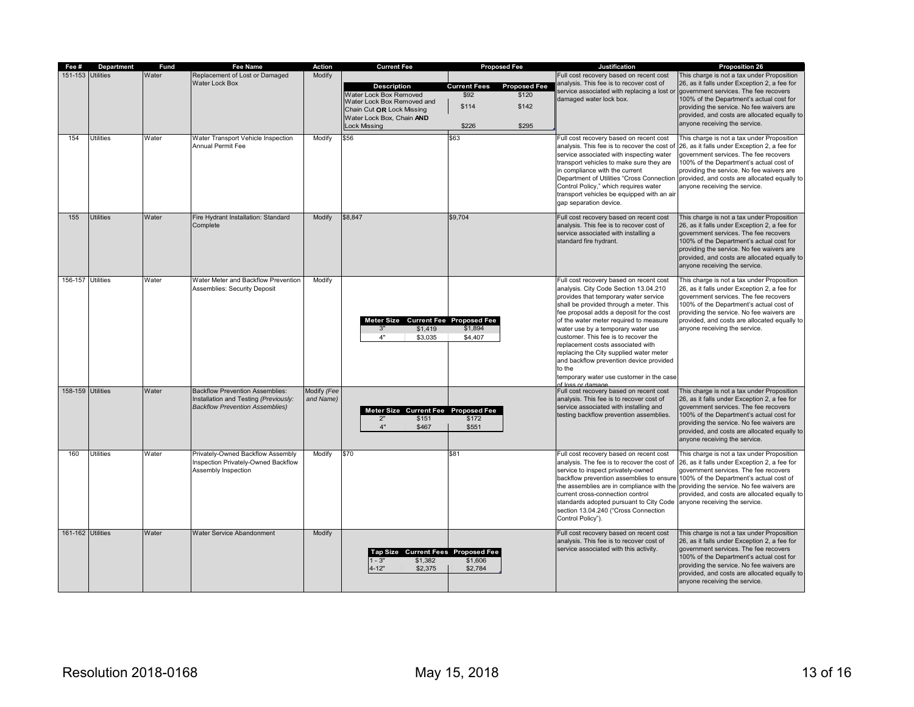| Fee #             | <b>Department</b> | <b>Fund</b> | Fee Name                               | Action      | <b>Current Fee</b>                  | <b>Proposed Fee</b>                        | Justification                                                                            | <b>Proposition 26</b>                                                                  |
|-------------------|-------------------|-------------|----------------------------------------|-------------|-------------------------------------|--------------------------------------------|------------------------------------------------------------------------------------------|----------------------------------------------------------------------------------------|
| 151-153 Utilities |                   | Water       | Replacement of Lost or Damaged         | Modify      |                                     |                                            | Full cost recovery based on recent cost                                                  | This charge is not a tax under Proposition                                             |
|                   |                   |             | <b>Water Lock Box</b>                  |             | <b>Description</b>                  | <b>Current Fees</b><br><b>Proposed Fee</b> | analysis. This fee is to recover cost of                                                 | 26, as it falls under Exception 2, a fee for                                           |
|                   |                   |             |                                        |             | Water Lock Box Removed              | \$92<br>\$120                              | service associated with replacing a lost or government services. The fee recovers        |                                                                                        |
|                   |                   |             |                                        |             | Water Lock Box Removed and          |                                            | damaged water lock box.                                                                  | 100% of the Department's actual cost for                                               |
|                   |                   |             |                                        |             | Chain Cut OR Lock Missing           | \$114<br>\$142                             |                                                                                          | providing the service. No fee waivers are                                              |
|                   |                   |             |                                        |             | Water Lock Box, Chain AND           |                                            |                                                                                          | provided, and costs are allocated equally to                                           |
|                   |                   |             |                                        |             |                                     |                                            |                                                                                          | anyone receiving the service.                                                          |
|                   |                   |             |                                        |             | <b>Lock Missing</b>                 | \$226<br>\$295                             |                                                                                          |                                                                                        |
| 154               | <b>Utilities</b>  | Water       | Water Transport Vehicle Inspection     | Modify      | \$56                                | \$63                                       | Full cost recovery based on recent cost                                                  | This charge is not a tax under Proposition                                             |
|                   |                   |             | Annual Permit Fee                      |             |                                     |                                            | analysis. This fee is to recover the cost of                                             | 26, as it falls under Exception 2, a fee for                                           |
|                   |                   |             |                                        |             |                                     |                                            | service associated with inspecting water                                                 | government services. The fee recovers                                                  |
|                   |                   |             |                                        |             |                                     |                                            | transport vehicles to make sure they are                                                 | 100% of the Department's actual cost of                                                |
|                   |                   |             |                                        |             |                                     |                                            | in compliance with the current                                                           | providing the service. No fee waivers are                                              |
|                   |                   |             |                                        |             |                                     |                                            |                                                                                          | Department of Utilities "Cross Connection provided, and costs are allocated equally to |
|                   |                   |             |                                        |             |                                     |                                            | Control Policy," which requires water                                                    | anyone receiving the service.                                                          |
|                   |                   |             |                                        |             |                                     |                                            | transport vehicles be equipped with an air                                               |                                                                                        |
|                   |                   |             |                                        |             |                                     |                                            | gap separation device.                                                                   |                                                                                        |
|                   |                   |             |                                        |             |                                     |                                            |                                                                                          |                                                                                        |
| 155               | <b>Utilities</b>  | Water       | Fire Hydrant Installation: Standard    | Modify      | \$8,847                             | \$9,704                                    | Full cost recovery based on recent cost                                                  | This charge is not a tax under Proposition                                             |
|                   |                   |             | Complete                               |             |                                     |                                            | analysis. This fee is to recover cost of                                                 | 26, as it falls under Exception 2, a fee for                                           |
|                   |                   |             |                                        |             |                                     |                                            | service associated with installing a                                                     | government services. The fee recovers                                                  |
|                   |                   |             |                                        |             |                                     |                                            | standard fire hydrant.                                                                   | 100% of the Department's actual cost for                                               |
|                   |                   |             |                                        |             |                                     |                                            |                                                                                          | providing the service. No fee waivers are                                              |
|                   |                   |             |                                        |             |                                     |                                            |                                                                                          | provided, and costs are allocated equally to                                           |
|                   |                   |             |                                        |             |                                     |                                            |                                                                                          | anyone receiving the service.                                                          |
|                   |                   |             |                                        |             |                                     |                                            |                                                                                          |                                                                                        |
| 156-157 Utilities |                   | Water       | Water Meter and Backflow Prevention    | Modify      |                                     |                                            | Full cost recovery based on recent cost                                                  | This charge is not a tax under Proposition                                             |
|                   |                   |             | <b>Assemblies: Security Deposit</b>    |             |                                     |                                            | analysis. City Code Section 13.04.210                                                    | 26, as it falls under Exception 2, a fee for                                           |
|                   |                   |             |                                        |             |                                     |                                            | provides that temporary water service                                                    | government services. The fee recovers                                                  |
|                   |                   |             |                                        |             |                                     |                                            | shall be provided through a meter. This                                                  | 100% of the Department's actual cost of                                                |
|                   |                   |             |                                        |             |                                     |                                            | fee proposal adds a deposit for the cost                                                 | providing the service. No fee waivers are                                              |
|                   |                   |             |                                        |             | Meter Size Current Fee Proposed Fee |                                            | of the water meter required to measure                                                   | provided, and costs are allocated equally to                                           |
|                   |                   |             |                                        |             | 3"<br>\$1,419                       | \$1,894                                    | water use by a temporary water use                                                       | anyone receiving the service.                                                          |
|                   |                   |             |                                        |             | 4"<br>\$3,035                       | \$4,407                                    | customer. This fee is to recover the                                                     |                                                                                        |
|                   |                   |             |                                        |             |                                     |                                            | replacement costs associated with                                                        |                                                                                        |
|                   |                   |             |                                        |             |                                     |                                            | replacing the City supplied water meter                                                  |                                                                                        |
|                   |                   |             |                                        |             |                                     |                                            | and backflow prevention device provided                                                  |                                                                                        |
|                   |                   |             |                                        |             |                                     |                                            | to the                                                                                   |                                                                                        |
|                   |                   |             |                                        |             |                                     |                                            | temporary water use customer in the case                                                 |                                                                                        |
|                   |                   |             |                                        |             |                                     |                                            | of loss or damage.                                                                       |                                                                                        |
| 158-159 Utilities |                   | Water       | <b>Backflow Prevention Assemblies:</b> | Modify (Fee |                                     |                                            | Full cost recovery based on recent cost                                                  | This charge is not a tax under Proposition                                             |
|                   |                   |             | Installation and Testing (Previously:  | and Name)   |                                     |                                            | analysis. This fee is to recover cost of                                                 | 26, as it falls under Exception 2, a fee for                                           |
|                   |                   |             | <b>Backflow Prevention Assemblies)</b> |             | Meter Size Current Fee Proposed Fee |                                            | service associated with installing and                                                   | government services. The fee recovers                                                  |
|                   |                   |             |                                        |             | 2"<br>\$151                         | \$172                                      | testing backflow prevention assemblies.                                                  | 100% of the Department's actual cost for                                               |
|                   |                   |             |                                        |             | 4"<br>\$467                         | \$551                                      |                                                                                          | providing the service. No fee waivers are                                              |
|                   |                   |             |                                        |             |                                     |                                            |                                                                                          | provided, and costs are allocated equally to                                           |
|                   |                   |             |                                        |             |                                     |                                            |                                                                                          | anyone receiving the service.                                                          |
| 160               | <b>Utilities</b>  | Water       | Privately-Owned Backflow Assembly      | Modify      | \$70                                | \$81                                       |                                                                                          | This charge is not a tax under Proposition                                             |
|                   |                   |             |                                        |             |                                     |                                            | Full cost recovery based on recent cost                                                  |                                                                                        |
|                   |                   |             | Inspection Privately-Owned Backflow    |             |                                     |                                            | analysis. The fee is to recover the cost of 26, as it falls under Exception 2, a fee for |                                                                                        |
|                   |                   |             | Assembly Inspection                    |             |                                     |                                            | service to inspect privately-owned                                                       | government services. The fee recovers                                                  |
|                   |                   |             |                                        |             |                                     |                                            | backflow prevention assemblies to ensure 100% of the Department's actual cost of         |                                                                                        |
|                   |                   |             |                                        |             |                                     |                                            | the assemblies are in compliance with the providing the service. No fee waivers are      |                                                                                        |
|                   |                   |             |                                        |             |                                     |                                            | current cross-connection control                                                         | provided, and costs are allocated equally to                                           |
|                   |                   |             |                                        |             |                                     |                                            | standards adopted pursuant to City Code anyone receiving the service.                    |                                                                                        |
|                   |                   |             |                                        |             |                                     |                                            | section 13.04.240 ("Cross Connection                                                     |                                                                                        |
|                   |                   |             |                                        |             |                                     |                                            | Control Policy").                                                                        |                                                                                        |
|                   |                   |             |                                        |             |                                     |                                            |                                                                                          |                                                                                        |
| 161-162 Utilities |                   | Water       | Water Service Abandonment              | Modify      |                                     |                                            | Full cost recovery based on recent cost                                                  | This charge is not a tax under Proposition                                             |
|                   |                   |             |                                        |             |                                     |                                            | analysis. This fee is to recover cost of                                                 | 26, as it falls under Exception 2, a fee for                                           |
|                   |                   |             |                                        |             | Tap Size Current Fees Proposed Fee  |                                            | service associated with this activity.                                                   | government services. The fee recovers                                                  |
|                   |                   |             |                                        |             | $1 - 3"$<br>\$1,382                 | \$1,606                                    |                                                                                          | 100% of the Department's actual cost for                                               |
|                   |                   |             |                                        |             | $4 - 12"$<br>\$2,375                | \$2,784                                    |                                                                                          | providing the service. No fee waivers are                                              |
|                   |                   |             |                                        |             |                                     |                                            |                                                                                          | provided, and costs are allocated equally to                                           |
|                   |                   |             |                                        |             |                                     |                                            |                                                                                          | anyone receiving the service.                                                          |
|                   |                   |             |                                        |             |                                     |                                            |                                                                                          |                                                                                        |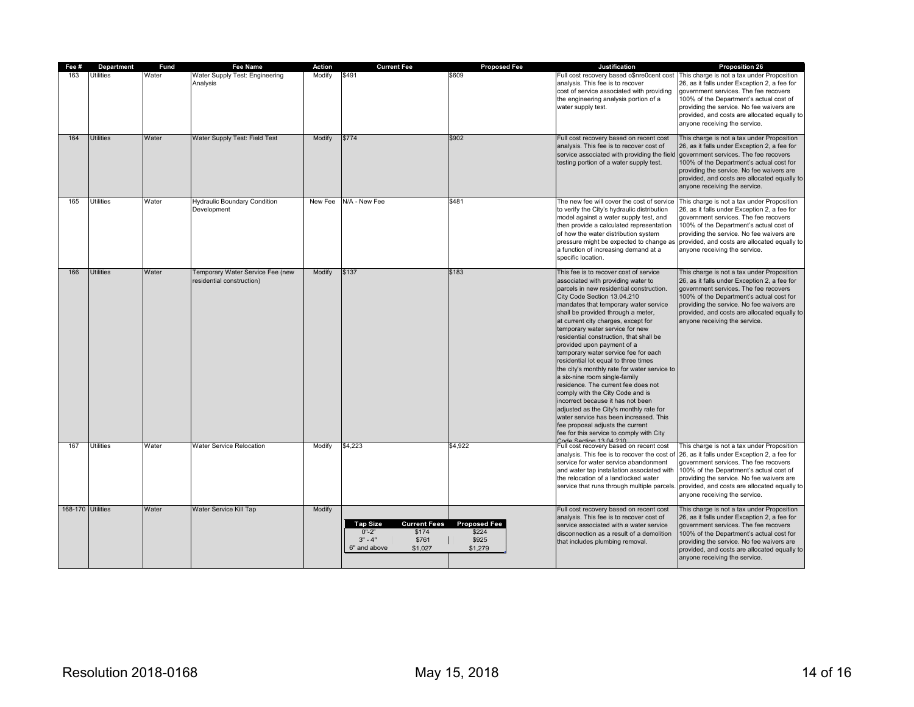| Fee #             | Department       | Fund  | Fee Name                                                      | Action  | <b>Current Fee</b>                                                                                            | <b>Proposed Fee</b>                              | Justification                                                                                                                                                                                                                                                                                                                                                                                                                                                                                                                                                                                                                                                                                                                                                                                                                                   | <b>Proposition 26</b>                                                                                                                                                                                                                                                                                         |
|-------------------|------------------|-------|---------------------------------------------------------------|---------|---------------------------------------------------------------------------------------------------------------|--------------------------------------------------|-------------------------------------------------------------------------------------------------------------------------------------------------------------------------------------------------------------------------------------------------------------------------------------------------------------------------------------------------------------------------------------------------------------------------------------------------------------------------------------------------------------------------------------------------------------------------------------------------------------------------------------------------------------------------------------------------------------------------------------------------------------------------------------------------------------------------------------------------|---------------------------------------------------------------------------------------------------------------------------------------------------------------------------------------------------------------------------------------------------------------------------------------------------------------|
| 163               | <b>Utilities</b> | Water | Water Supply Test: Engineering<br>Analysis                    | Modify  | \$491                                                                                                         | \$609                                            | Full cost recovery based o\$nre0cent cost<br>analysis. This fee is to recover<br>cost of service associated with providing<br>the engineering analysis portion of a<br>water supply test.                                                                                                                                                                                                                                                                                                                                                                                                                                                                                                                                                                                                                                                       | This charge is not a tax under Proposition<br>26, as it falls under Exception 2, a fee for<br>government services. The fee recovers<br>100% of the Department's actual cost of<br>providing the service. No fee waivers are<br>provided, and costs are allocated equally to<br>anyone receiving the service.  |
| 164               | <b>Utilities</b> | Water | Water Supply Test: Field Test                                 | Modify  | \$774                                                                                                         | \$902                                            | Full cost recovery based on recent cost<br>analysis. This fee is to recover cost of<br>service associated with providing the field<br>testing portion of a water supply test.                                                                                                                                                                                                                                                                                                                                                                                                                                                                                                                                                                                                                                                                   | This charge is not a tax under Proposition<br>26, as it falls under Exception 2, a fee for<br>government services. The fee recovers<br>100% of the Department's actual cost for<br>providing the service. No fee waivers are<br>provided, and costs are allocated equally to<br>anyone receiving the service. |
| 165               | <b>Utilities</b> | Water | <b>Hydraulic Boundary Condition</b><br>Development            | New Fee | N/A - New Fee                                                                                                 | \$481                                            | The new fee will cover the cost of service<br>to verify the City's hydraulic distribution<br>model against a water supply test, and<br>then provide a calculated representation<br>of how the water distribution system<br>pressure might be expected to change a<br>a function of increasing demand at a<br>specific location.                                                                                                                                                                                                                                                                                                                                                                                                                                                                                                                 | This charge is not a tax under Proposition<br>26, as it falls under Exception 2, a fee for<br>government services. The fee recovers<br>100% of the Department's actual cost of<br>providing the service. No fee waivers are<br>provided, and costs are allocated equally to<br>anyone receiving the service.  |
| 166               | <b>Utilities</b> | Water | Temporary Water Service Fee (new<br>residential construction) | Modify  | \$137                                                                                                         | \$183                                            | This fee is to recover cost of service<br>associated with providing water to<br>parcels in new residential construction.<br>City Code Section 13.04.210<br>mandates that temporary water service<br>shall be provided through a meter,<br>at current city charges, except for<br>temporary water service for new<br>residential construction, that shall be<br>provided upon payment of a<br>temporary water service fee for each<br>residential lot equal to three times<br>the city's monthly rate for water service to<br>a six-nine room single-family<br>residence. The current fee does not<br>comply with the City Code and is<br>incorrect because it has not been<br>adjusted as the City's monthly rate for<br>water service has been increased. This<br>fee proposal adjusts the current<br>fee for this service to comply with City | This charge is not a tax under Proposition<br>26, as it falls under Exception 2, a fee for<br>government services. The fee recovers<br>100% of the Department's actual cost for<br>providing the service. No fee waivers are<br>provided, and costs are allocated equally to<br>anyone receiving the service. |
| 167               | <b>Utilities</b> | Water | <b>Water Service Relocation</b>                               | Modify  | \$4,223                                                                                                       | \$4,922                                          | Full cost recovery based on recent cost<br>analysis. This fee is to recover the cost of<br>service for water service abandonment<br>and water tap installation associated with<br>the relocation of a landlocked water<br>service that runs through multiple parcels.                                                                                                                                                                                                                                                                                                                                                                                                                                                                                                                                                                           | This charge is not a tax under Proposition<br>26, as it falls under Exception 2, a fee for<br>government services. The fee recovers<br>100% of the Department's actual cost of<br>providing the service. No fee waivers are<br>provided, and costs are allocated equally to<br>anyone receiving the service.  |
| 168-170 Utilities |                  | Water | Water Service Kill Tap                                        | Modify  | <b>Tap Size</b><br><b>Current Fees</b><br>$0" - 2"$<br>\$174<br>$3" - 4"$<br>\$761<br>6" and above<br>\$1,027 | <b>Proposed Fee</b><br>\$224<br>\$925<br>\$1,279 | Full cost recovery based on recent cost<br>analysis. This fee is to recover cost of<br>service associated with a water service<br>disconnection as a result of a demolition<br>that includes plumbing removal.                                                                                                                                                                                                                                                                                                                                                                                                                                                                                                                                                                                                                                  | This charge is not a tax under Proposition<br>26, as it falls under Exception 2, a fee for<br>government services. The fee recovers<br>100% of the Department's actual cost for<br>providing the service. No fee waivers are<br>provided, and costs are allocated equally to<br>anyone receiving the service. |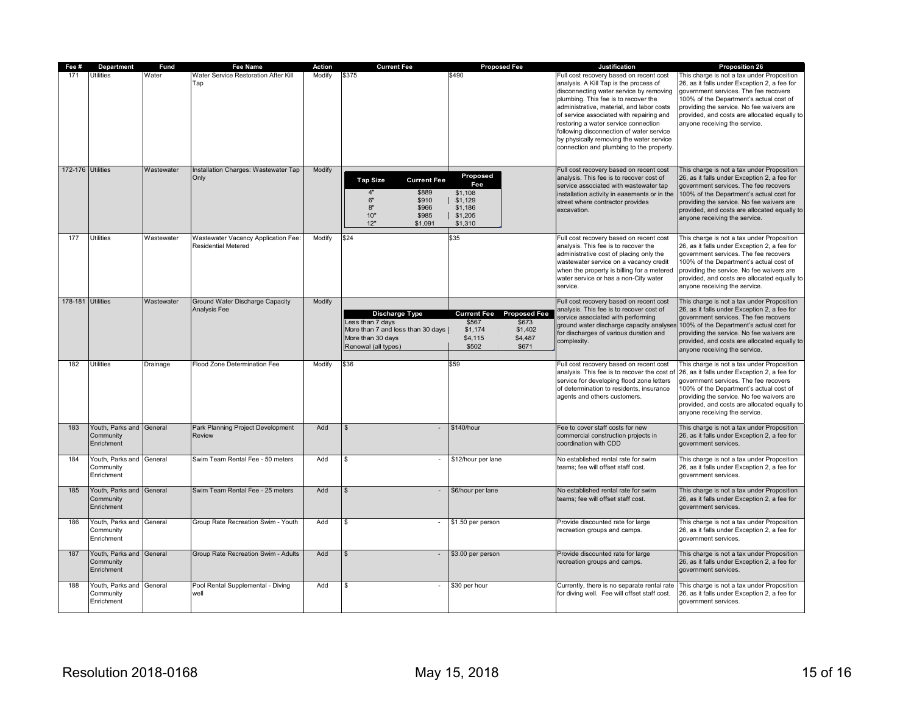| Fee #             | Department                                          | <b>Fund</b> | <b>Fee Name</b>                                            | Action | <b>Current Fee</b>                                                                                                             | <b>Proposed Fee</b>                                                                                                       | Justification                                                                                                                                                                                                                                                                                                                                                                                                                             | <b>Proposition 26</b>                                                                                                                                                                                                                                                                                                                                  |
|-------------------|-----------------------------------------------------|-------------|------------------------------------------------------------|--------|--------------------------------------------------------------------------------------------------------------------------------|---------------------------------------------------------------------------------------------------------------------------|-------------------------------------------------------------------------------------------------------------------------------------------------------------------------------------------------------------------------------------------------------------------------------------------------------------------------------------------------------------------------------------------------------------------------------------------|--------------------------------------------------------------------------------------------------------------------------------------------------------------------------------------------------------------------------------------------------------------------------------------------------------------------------------------------------------|
| 171               | Utilities                                           | Water       | Water Service Restoration After Kill<br>Tap                | Modify | \$375                                                                                                                          | \$490                                                                                                                     | Full cost recovery based on recent cost<br>analysis. A Kill Tap is the process of<br>disconnecting water service by removing<br>plumbing. This fee is to recover the<br>administrative, material, and labor costs<br>of service associated with repairing and<br>restoring a water service connection<br>following disconnection of water service<br>by physically removing the water service<br>connection and plumbing to the property. | This charge is not a tax under Proposition<br>26, as it falls under Exception 2, a fee for<br>government services. The fee recovers<br>100% of the Department's actual cost of<br>providing the service. No fee waivers are<br>provided, and costs are allocated equally to<br>anyone receiving the service.                                           |
| 172-176 Utilities |                                                     | Wastewater  | Installation Charges: Wastewater Tap<br>Only               | Modify | <b>Tap Size</b><br><b>Current Fee</b><br>\$889<br>$\mathbf{A}$<br>6"<br>\$910<br>8"<br>\$966<br>10"<br>\$985<br>12"<br>\$1,091 | Proposed<br>Fee<br>\$1,108<br>\$1,129<br>\$1,186<br>\$1,205<br>\$1,310                                                    | Full cost recovery based on recent cost<br>analysis. This fee is to recover cost of<br>service associated with wastewater tap<br>installation activity in easements or in the<br>street where contractor provides<br>excavation.                                                                                                                                                                                                          | This charge is not a tax under Proposition<br>26, as it falls under Exception 2, a fee for<br>government services. The fee recovers<br>100% of the Department's actual cost for<br>providing the service. No fee waivers are<br>provided, and costs are allocated equally to<br>anyone receiving the service.                                          |
| 177               | Utilities                                           | Wastewater  | Wastewater Vacancy Application Fee:<br>Residential Metered | Modify | \$24                                                                                                                           | \$35                                                                                                                      | Full cost recovery based on recent cost<br>analysis. This fee is to recover the<br>administrative cost of placing only the<br>wastewater service on a vacancy credit<br>when the property is billing for a metered<br>water service or has a non-City water<br>service.                                                                                                                                                                   | This charge is not a tax under Proposition<br>26, as it falls under Exception 2, a fee for<br>government services. The fee recovers<br>100% of the Department's actual cost of<br>providing the service. No fee waivers are<br>provided, and costs are allocated equally to<br>anyone receiving the service.                                           |
| 178-181 Utilities |                                                     | Wastewater  | Ground Water Discharge Capacity<br>Analysis Fee            | Modify | Discharge Type<br>Less than 7 days<br>More than 7 and less than 30 days<br>More than 30 days<br>Renewal (all types)            | <b>Current Fee</b><br><b>Proposed Fee</b><br>\$673<br>\$567<br>\$1,402<br>\$1,174<br>\$4,115<br>\$4,487<br>\$502<br>\$671 | Full cost recovery based on recent cost<br>analysis. This fee is to recover cost of<br>service associated with performing<br>or discharges of various duration and<br>complexity.                                                                                                                                                                                                                                                         | This charge is not a tax under Proposition<br>26, as it falls under Exception 2, a fee for<br>government services. The fee recovers<br>ground water discharge capacity analyses 100% of the Department's actual cost for<br>providing the service. No fee waivers are<br>provided, and costs are allocated equally to<br>anyone receiving the service. |
| 182               | Utilities                                           | Drainage    | Flood Zone Determination Fee                               | Modify | \$36                                                                                                                           | \$59                                                                                                                      | Full cost recovery based on recent cost<br>analysis. This fee is to recover the cost of<br>service for developing flood zone letters<br>of determination to residents, insurance<br>agents and others customers.                                                                                                                                                                                                                          | This charge is not a tax under Proposition<br>26, as it falls under Exception 2, a fee for<br>government services. The fee recovers<br>100% of the Department's actual cost of<br>providing the service. No fee waivers are<br>provided, and costs are allocated equally to<br>anyone receiving the service.                                           |
| 183               | Youth, Parks and General<br>Community<br>Enrichment |             | Park Planning Project Development<br><b>Review</b>         | Add    |                                                                                                                                | \$140/hour                                                                                                                | Fee to cover staff costs for new<br>commercial construction projects in<br>coordination with CDD                                                                                                                                                                                                                                                                                                                                          | This charge is not a tax under Proposition<br>26, as it falls under Exception 2, a fee for<br>government services.                                                                                                                                                                                                                                     |
| 184               | Youth, Parks and General<br>Community<br>Enrichment |             | Swim Team Rental Fee - 50 meters                           | Add    | \$                                                                                                                             | \$12/hour per lane                                                                                                        | No established rental rate for swim<br>teams; fee will offset staff cost.                                                                                                                                                                                                                                                                                                                                                                 | This charge is not a tax under Proposition<br>26, as it falls under Exception 2, a fee for<br>government services.                                                                                                                                                                                                                                     |
| 185               | Youth, Parks and<br>Community<br>Enrichment         | General     | Swim Team Rental Fee - 25 meters                           | Add    | $\mathfrak{L}$                                                                                                                 | \$6/hour per lane                                                                                                         | No established rental rate for swim<br>teams; fee will offset staff cost.                                                                                                                                                                                                                                                                                                                                                                 | This charge is not a tax under Proposition<br>26, as it falls under Exception 2, a fee for<br>government services.                                                                                                                                                                                                                                     |
| 186               | Youth, Parks and General<br>Community<br>Enrichment |             | Group Rate Recreation Swim - Youth                         | Add    |                                                                                                                                | \$1.50 per person                                                                                                         | Provide discounted rate for large<br>recreation groups and camps.                                                                                                                                                                                                                                                                                                                                                                         | This charge is not a tax under Proposition<br>26, as it falls under Exception 2, a fee for<br>government services.                                                                                                                                                                                                                                     |
| 187               | Youth, Parks and<br>Community<br>Enrichment         | General     | Group Rate Recreation Swim - Adults                        | Add    |                                                                                                                                | \$3.00 per person                                                                                                         | Provide discounted rate for large<br>recreation groups and camps.                                                                                                                                                                                                                                                                                                                                                                         | This charge is not a tax under Proposition<br>26, as it falls under Exception 2, a fee for<br>government services.                                                                                                                                                                                                                                     |
| 188               | Youth, Parks and<br>Community<br>Enrichment         | General     | Pool Rental Supplemental - Diving<br>well                  | Add    | S                                                                                                                              | \$30 per hour                                                                                                             | Currently, there is no separate rental rate<br>for diving well. Fee will offset staff cost.                                                                                                                                                                                                                                                                                                                                               | This charge is not a tax under Proposition<br>26, as it falls under Exception 2, a fee for<br>government services.                                                                                                                                                                                                                                     |